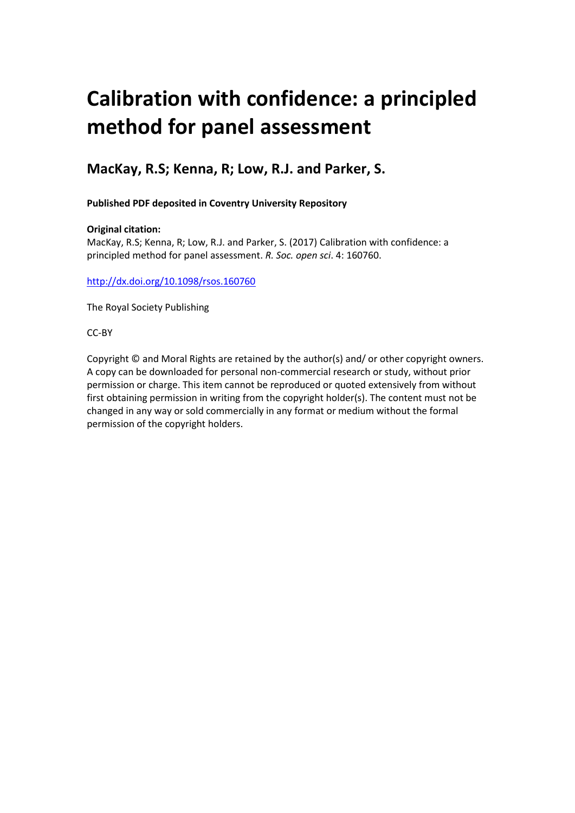# **Calibration with confidence: a principled method for panel assessment**

### **MacKay, R.S; Kenna, R; Low, R.J. and Parker, S.**

#### **Published PDF deposited in Coventry University Repository**

#### **Original citation:**

MacKay, R.S; Kenna, R; Low, R.J. and Parker, S. (2017) Calibration with confidence: a principled method for panel assessment. *R. Soc. open sci*. 4: 160760.

#### <http://dx.doi.org/10.1098/rsos.160760>

The Royal Society Publishing

CC-BY

Copyright © and Moral Rights are retained by the author(s) and/ or other copyright owners. A copy can be downloaded for personal non-commercial research or study, without prior permission or charge. This item cannot be reproduced or quoted extensively from without first obtaining permission in writing from the copyright holder(s). The content must not be changed in any way or sold commercially in any format or medium without the formal permission of the copyright holders.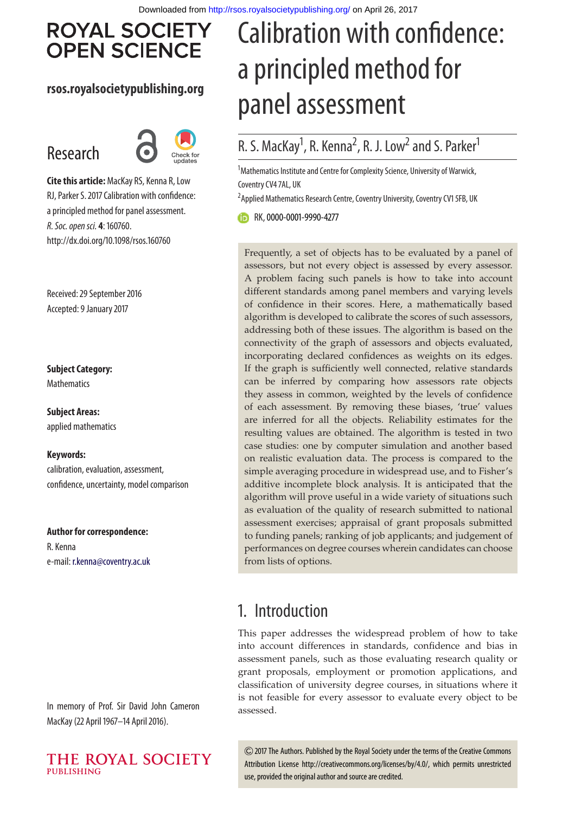# **ROYAL SOCIETY OPEN SCIENCE**

#### **rsos.royalsocietypublishing.org**

# Research



**Cite this article:** MacKay RS, Kenna R, Low RJ, Parker S. 2017 Calibration with confidence: a principled method for panel assessment. *R. Soc. open sci.* **4**: 160760. http://dx.doi.org/10.1098/rsos.160760

Received: 29 September 2016 Accepted: 9 January 2017

### **Subject Category:**

**Mathematics** 

**Subject Areas:** applied mathematics

#### **Keywords:**

calibration, evaluation, assessment, confidence, uncertainty, model comparison

**Author for correspondence:** R. Kenna e-mail: [r.kenna@coventry.ac.uk](mailto:r.kenna@coventry.ac.uk)

In memory of Prof. Sir David John Cameron MacKay (22 April 1967–14 April 2016).



# Calibration with confidence: a principled method for panel assessment

## R. S. MacKay<sup>1</sup>, R. Kenna<sup>2</sup>, R. J. Low<sup>2</sup> and S. Parker<sup>1</sup>

<sup>1</sup> Mathematics Institute and Centre for Complexity Science, University of Warwick, Coventry CV4 7AL, UK

<sup>2</sup> Applied Mathematics Research Centre, Coventry University, Coventry CV1 5FB, UK

RK, [0000-0001-9990-4277](http://orcid.org/0000-0001-9990-4277)

Frequently, a set of objects has to be evaluated by a panel of assessors, but not every object is assessed by every assessor. A problem facing such panels is how to take into account different standards among panel members and varying levels of confidence in their scores. Here, a mathematically based algorithm is developed to calibrate the scores of such assessors, addressing both of these issues. The algorithm is based on the connectivity of the graph of assessors and objects evaluated, incorporating declared confidences as weights on its edges. If the graph is sufficiently well connected, relative standards can be inferred by comparing how assessors rate objects they assess in common, weighted by the levels of confidence of each assessment. By removing these biases, 'true' values are inferred for all the objects. Reliability estimates for the resulting values are obtained. The algorithm is tested in two case studies: one by computer simulation and another based on realistic evaluation data. The process is compared to the simple averaging procedure in widespread use, and to Fisher's additive incomplete block analysis. It is anticipated that the algorithm will prove useful in a wide variety of situations such as evaluation of the quality of research submitted to national assessment exercises; appraisal of grant proposals submitted to funding panels; ranking of job applicants; and judgement of performances on degree courses wherein candidates can choose from lists of options.

# 1. Introduction

This paper addresses the widespread problem of how to take into account differences in standards, confidence and bias in assessment panels, such as those evaluating research quality or grant proposals, employment or promotion applications, and classification of university degree courses, in situations where it is not feasible for every assessor to evaluate every object to be assessed.

2017 The Authors. Published by the Royal Society under the terms of the Creative Commons Attribution License http://creativecommons.org/licenses/by/4.0/, which permits unrestricted use, provided the original author and source are credited.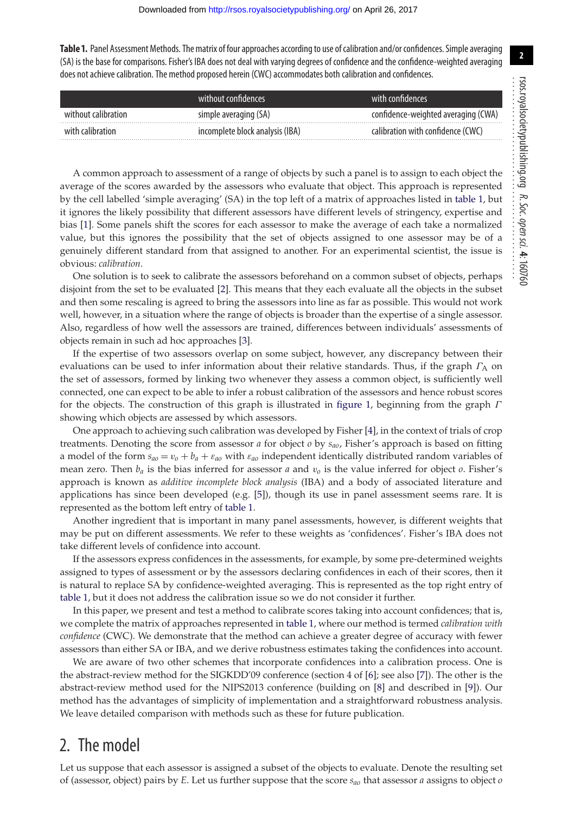<span id="page-2-0"></span>**Table 1.** Panel Assessment Methods. The matrix of four approaches according to use of calibration and/or confidences. Simple averaging (SA) is the base for comparisons. Fisher's IBA does not deal with varying degrees of confidence and the confidence-weighted averaging does not achieve calibration. The method proposed herein (CWC) accommodates both calibration and confidences.

|                     | without confidences             | with confidences.                   |
|---------------------|---------------------------------|-------------------------------------|
| without calibration | simple averaging (SA)           | confidence-weighted averaging (CWA) |
| with calibration    | incomplete block analysis (IBA) | calibration with confidence (CWC)   |

A common approach to assessment of a range of objects by such a panel is to assign to each object the average of the scores awarded by the assessors who evaluate that object. This approach is represented by the cell labelled 'simple averaging' (SA) in the top left of a matrix of approaches listed in [table 1,](#page-2-0) but it ignores the likely possibility that different assessors have different levels of stringency, expertise and bias [\[1\]](#page-21-0). Some panels shift the scores for each assessor to make the average of each take a normalized value, but this ignores the possibility that the set of objects assigned to one assessor may be of a genuinely different standard from that assigned to another. For an experimental scientist, the issue is obvious: *calibration*.

One solution is to seek to calibrate the assessors beforehand on a common subset of objects, perhaps disjoint from the set to be evaluated [\[2\]](#page-21-1). This means that they each evaluate all the objects in the subset and then some rescaling is agreed to bring the assessors into line as far as possible. This would not work well, however, in a situation where the range of objects is broader than the expertise of a single assessor. Also, regardless of how well the assessors are trained, differences between individuals' assessments of objects remain in such ad hoc approaches [\[3\]](#page-21-2).

If the expertise of two assessors overlap on some subject, however, any discrepancy between their evaluations can be used to infer information about their relative standards. Thus, if the graph  $\Gamma_A$  on the set of assessors, formed by linking two whenever they assess a common object, is sufficiently well connected, one can expect to be able to infer a robust calibration of the assessors and hence robust scores for the objects. The construction of this graph is illustrated in [figure 1,](#page-3-0) beginning from the graph  $\Gamma$ showing which objects are assessed by which assessors.

One approach to achieving such calibration was developed by Fisher [\[4\]](#page-21-3), in the context of trials of crop treatments. Denoting the score from assessor *a* for object *o* by *sao*, Fisher's approach is based on fitting a model of the form  $s_{ao} = v_o + b_a + \varepsilon_{ao}$  with  $\varepsilon_{ao}$  independent identically distributed random variables of mean zero. Then  $b_a$  is the bias inferred for assessor *a* and  $v<sub>o</sub>$  is the value inferred for object *o*. Fisher's approach is known as *additive incomplete block analysis* (IBA) and a body of associated literature and applications has since been developed (e.g. [\[5\]](#page-21-4)), though its use in panel assessment seems rare. It is represented as the bottom left entry of [table 1.](#page-2-0)

Another ingredient that is important in many panel assessments, however, is different weights that may be put on different assessments. We refer to these weights as 'confidences'. Fisher's IBA does not take different levels of confidence into account.

If the assessors express confidences in the assessments, for example, by some pre-determined weights assigned to types of assessment or by the assessors declaring confidences in each of their scores, then it is natural to replace SA by confidence-weighted averaging. This is represented as the top right entry of [table 1,](#page-2-0) but it does not address the calibration issue so we do not consider it further.

In this paper, we present and test a method to calibrate scores taking into account confidences; that is, we complete the matrix of approaches represented in [table 1,](#page-2-0) where our method is termed *calibration with confidence* (CWC). We demonstrate that the method can achieve a greater degree of accuracy with fewer assessors than either SA or IBA, and we derive robustness estimates taking the confidences into account.

We are aware of two other schemes that incorporate confidences into a calibration process. One is the abstract-review method for the SIGKDD'09 conference (section 4 of [\[6\]](#page-21-5); see also [\[7\]](#page-21-6)). The other is the abstract-review method used for the NIPS2013 conference (building on [\[8\]](#page-21-7) and described in [\[9\]](#page-21-8)). Our method has the advantages of simplicity of implementation and a straightforward robustness analysis. We leave detailed comparison with methods such as these for future publication.

### 2. The model

Let us suppose that each assessor is assigned a subset of the objects to evaluate. Denote the resulting set of (assessor, object) pairs by *E*. Let us further suppose that the score *sao* that assessor *a* assigns to object *o*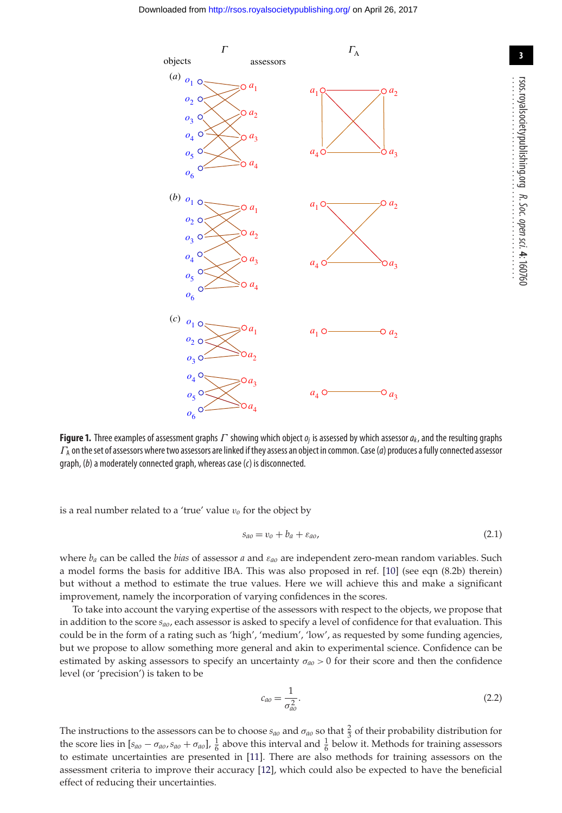

<span id="page-3-0"></span>**Figure 1.** Three examples of assessment graphs Γ showing which object*oj* is assessed by which assessor*ak*, and the resulting graphs  $\Gamma_A$  on the set of assessors where two assessors are linked if they assess an object in common. Case (*a*) produces a fully connected assessor graph, (*b*) a moderately connected graph, whereas case (*c*) is disconnected.

is a real number related to a 'true' value  $v<sub>o</sub>$  for the object by

$$
s_{a0} = v_o + b_a + \varepsilon_{a0},\tag{2.1}
$$

where *ba* can be called the *bias* of assessor *a* and ε*ao* are independent zero-mean random variables. Such a model forms the basis for additive IBA. This was also proposed in ref. [\[10\]](#page-21-9) (see eqn (8.2b) therein) but without a method to estimate the true values. Here we will achieve this and make a significant improvement, namely the incorporation of varying confidences in the scores.

To take into account the varying expertise of the assessors with respect to the objects, we propose that in addition to the score *sao*, each assessor is asked to specify a level of confidence for that evaluation. This could be in the form of a rating such as 'high', 'medium', 'low', as requested by some funding agencies, but we propose to allow something more general and akin to experimental science. Confidence can be estimated by asking assessors to specify an uncertainty  $\sigma_{a0} > 0$  for their score and then the confidence level (or 'precision') is taken to be

$$
c_{ao} = \frac{1}{\sigma_{ao}^2}.\tag{2.2}
$$

The instructions to the assessors can be to choose  $s_{a0}$  and  $\sigma_{a0}$  so that  $\frac{2}{3}$  of their probability distribution for the score lies in  $[s_{a0} - \sigma_{a0}, s_{a0} + \sigma_{a0}]$ ,  $\frac{1}{6}$  above this interval and  $\frac{1}{6}$  below it. Methods for training assessors to estimate uncertainties are presented in [\[11\]](#page-21-10). There are also methods for training assessors on the assessment criteria to improve their accuracy [\[12\]](#page-21-11), which could also be expected to have the beneficial effect of reducing their uncertainties.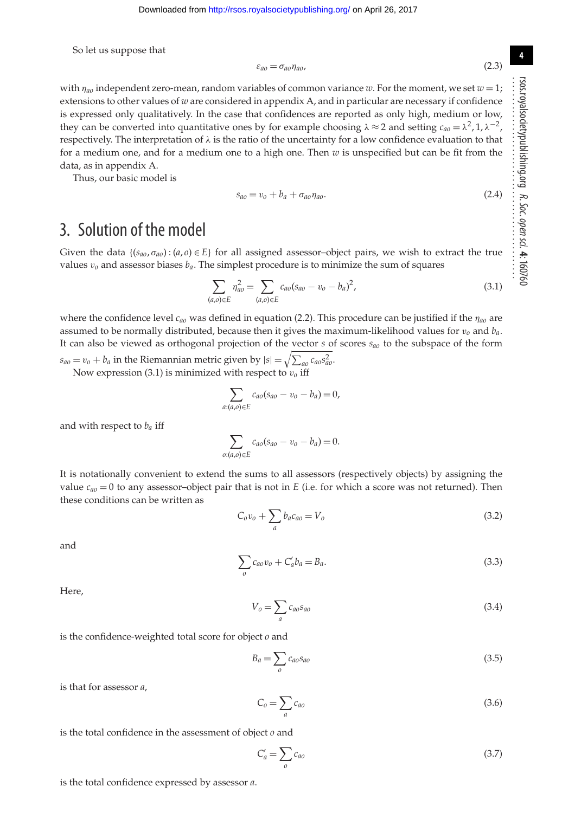So let us suppose that

$$
\varepsilon_{a\sigma} = \sigma_{a\sigma} \eta_{a\sigma},\tag{2.3}
$$

with  $\eta_{a0}$  independent zero-mean, random variables of common variance *w*. For the moment, we set  $w = 1$ ; extensions to other values of *w* are considered in appendix A, and in particular are necessary if confidence is expressed only qualitatively. In the case that confidences are reported as only high, medium or low, they can be converted into quantitative ones by for example choosing  $\lambda \approx 2$  and setting  $c_{a0} = \lambda^2, 1, \lambda^{-2}$ , respectively. The interpretation of  $\lambda$  is the ratio of the uncertainty for a low confidence evaluation to that for a medium one, and for a medium one to a high one. Then *w* is unspecified but can be fit from the data, as in appendix A.

Thus, our basic model is

$$
s_{a0} = v_0 + b_a + \sigma_{a0} \eta_{a0}.\tag{2.4}
$$

### 3. Solution of the model

Given the data  $\{(s_{a0}, \sigma_{a0}) : (a, o) \in E\}$  for all assigned assessor–object pairs, we wish to extract the true values  $v<sub>o</sub>$  and assessor biases  $b<sub>a</sub>$ . The simplest procedure is to minimize the sum of squares

$$
\sum_{(a,o)\in E} \eta_{ao}^2 = \sum_{(a,o)\in E} c_{ao} (s_{ao} - v_o - b_a)^2,\tag{3.1}
$$

where the confidence level *cao* was defined in equation (2.2). This procedure can be justified if the η*ao* are assumed to be normally distributed, because then it gives the maximum-likelihood values for v*<sup>o</sup>* and *ba*. It can also be viewed as orthogonal projection of the vector *s* of scores *sao* to the subspace of the form  $s_{ao} = v_o + b_a$  in the Riemannian metric given by  $|s| = \sqrt{\sum_{ao} c_{ao} s_{ao}^2}$ .

Now expression (3.1) is minimized with respect to  $v_0$  iff

$$
\sum_{a:(a,o)\in E} c_{ao}(s_{ao} - v_o - b_a) = 0,
$$

and with respect to *ba* iff

$$
\sum_{o:(a,o)\in E} c_{ao}(s_{ao}-v_o-b_a)=0.
$$

It is notationally convenient to extend the sums to all assessors (respectively objects) by assigning the value  $c_{a0} = 0$  to any assessor-object pair that is not in *E* (i.e. for which a score was not returned). Then these conditions can be written as

$$
C_0 v_0 + \sum_a b_a c_{a0} = V_0
$$
\n(3.2)

and

$$
\sum_{o} c_{ao} v_o + C'_a b_a = B_a.
$$
\n(3.3)

Here,

$$
V_o = \sum_a c_{ao} s_{ao} \tag{3.4}
$$

is the confidence-weighted total score for object *o* and

$$
B_a = \sum_o c_{a0} s_{a0} \tag{3.5}
$$

is that for assessor *a*,

$$
C_o = \sum_a c_{ao} \tag{3.6}
$$

is the total confidence in the assessment of object *o* and

$$
C'_a = \sum_o c_{ao} \tag{3.7}
$$

is the total confidence expressed by assessor *a*.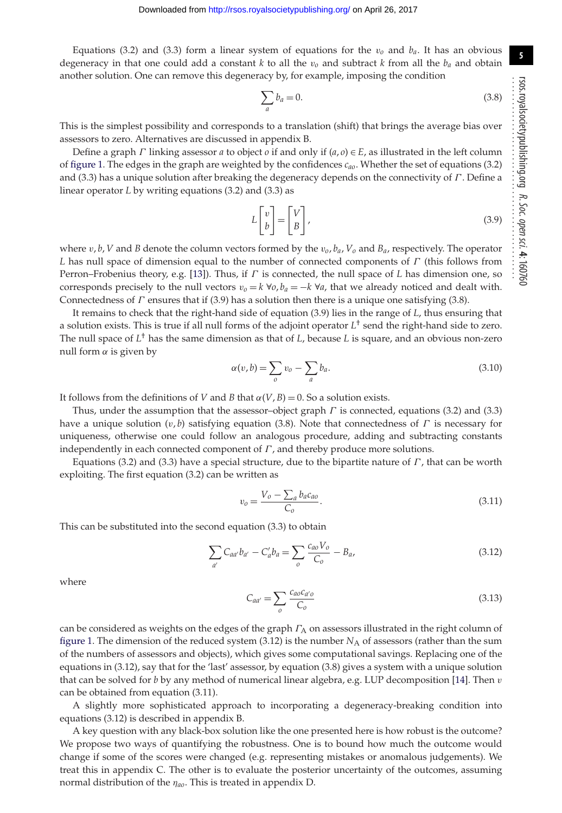Equations (3.2) and (3.3) form a linear system of equations for the  $v<sub>o</sub>$  and  $b<sub>a</sub>$ . It has an obvious degeneracy in that one could add a constant *k* to all the  $v<sub>o</sub>$  and subtract *k* from all the  $b<sub>a</sub>$  and obtain another solution. One can remove this degeneracy by, for example, imposing the condition

$$
\sum_{a} b_a = 0. \tag{3.8}
$$

This is the simplest possibility and corresponds to a translation (shift) that brings the average bias over assessors to zero. Alternatives are discussed in appendix B.

Define a graph Γ linking assessor *a* to object *o* if and only if (*a*, *o*) ∈ *E*, as illustrated in the left column of [figure 1.](#page-3-0) The edges in the graph are weighted by the confidences *cao*. Whether the set of equations (3.2) and (3.3) has a unique solution after breaking the degeneracy depends on the connectivity of Γ . Define a linear operator *L* by writing equations (3.2) and (3.3) as

$$
L\begin{bmatrix} v \\ b \end{bmatrix} = \begin{bmatrix} V \\ B \end{bmatrix},\tag{3.9}
$$

where  $v, b, V$  and *B* denote the column vectors formed by the  $v_0, b_a, V_0$  and  $B_a$ , respectively. The operator *L* has null space of dimension equal to the number of connected components of Γ (this follows from Perron–Frobenius theory, e.g. [\[13\]](#page-21-12)). Thus, if Γ is connected, the null space of *L* has dimension one, so corresponds precisely to the null vectors  $v_0 = k \forall o, b_a = -k \forall a$ , that we already noticed and dealt with. Connectedness of  $\Gamma$  ensures that if (3.9) has a solution then there is a unique one satisfying (3.8).

It remains to check that the right-hand side of equation (3.9) lies in the range of *L*, thus ensuring that a solution exists. This is true if all null forms of the adjoint operator *L*† send the right-hand side to zero. The null space of *L*† has the same dimension as that of *L*, because *L* is square, and an obvious non-zero null form  $\alpha$  is given by

$$
\alpha(v, b) = \sum_{o} v_o - \sum_{a} b_a.
$$
\n(3.10)

It follows from the definitions of *V* and *B* that  $\alpha(V, B) = 0$ . So a solution exists.

Thus, under the assumption that the assessor–object graph  $\Gamma$  is connected, equations (3.2) and (3.3) have a unique solution  $(v, b)$  satisfying equation (3.8). Note that connectedness of  $\Gamma$  is necessary for uniqueness, otherwise one could follow an analogous procedure, adding and subtracting constants independently in each connected component of  $\Gamma$ , and thereby produce more solutions.

Equations (3.2) and (3.3) have a special structure, due to the bipartite nature of  $\Gamma$ , that can be worth exploiting. The first equation (3.2) can be written as

$$
v_o = \frac{V_o - \sum_a b_a c_{ao}}{C_o}.
$$
\n(3.11)

This can be substituted into the second equation (3.3) to obtain

$$
\sum_{a'} C_{aa'} b_{a'} - C'_a b_a = \sum_o \frac{c_{ao} V_o}{C_o} - B_a,
$$
\n(3.12)

where

$$
C_{aa'} = \sum_{o} \frac{c_{ao}c_{a'o}}{C_o} \tag{3.13}
$$

can be considered as weights on the edges of the graph  $\Gamma_A$  on assessors illustrated in the right column of [figure 1.](#page-3-0) The dimension of the reduced system (3.12) is the number N<sub>A</sub> of assessors (rather than the sum of the numbers of assessors and objects), which gives some computational savings. Replacing one of the equations in (3.12), say that for the 'last' assessor, by equation (3.8) gives a system with a unique solution that can be solved for *b* by any method of numerical linear algebra, e.g. LUP decomposition [\[14\]](#page-21-13). Then v can be obtained from equation (3.11).

A slightly more sophisticated approach to incorporating a degeneracy-breaking condition into equations (3.12) is described in appendix B.

A key question with any black-box solution like the one presented here is how robust is the outcome? We propose two ways of quantifying the robustness. One is to bound how much the outcome would change if some of the scores were changed (e.g. representing mistakes or anomalous judgements). We treat this in appendix C. The other is to evaluate the posterior uncertainty of the outcomes, assuming normal distribution of the η*ao*. This is treated in appendix D.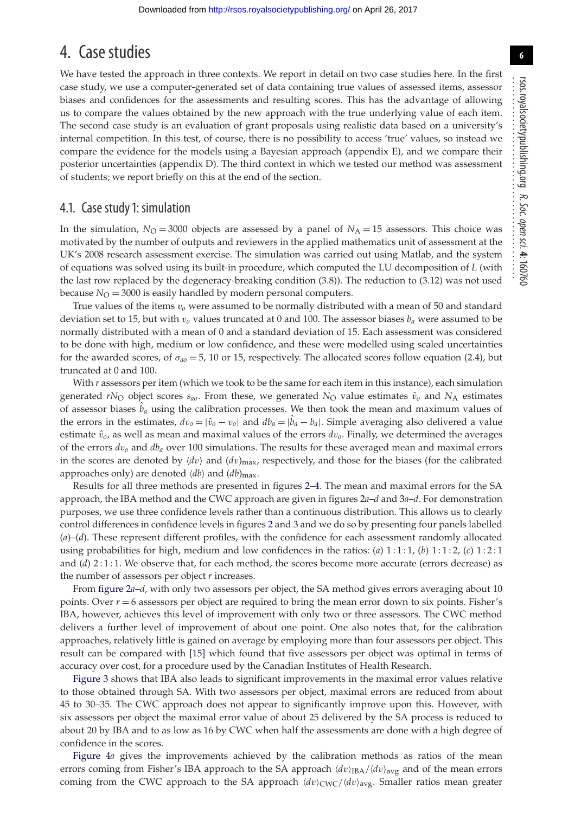### 4. Case studies

We have tested the approach in three contexts. We report in detail on two case studies here. In the first case study, we use a computer-generated set of data containing true values of assessed items, assessor biases and confidences for the assessments and resulting scores. This has the advantage of allowing us to compare the values obtained by the new approach with the true underlying value of each item. The second case study is an evaluation of grant proposals using realistic data based on a university's internal competition. In this test, of course, there is no possibility to access 'true' values, so instead we compare the evidence for the models using a Bayesian approach (appendix E), and we compare their posterior uncertainties (appendix D). The third context in which we tested our method was assessment of students; we report briefly on this at the end of the section.

#### 4.1. Case study 1: simulation

In the simulation,  $N_Q = 3000$  objects are assessed by a panel of  $N_A = 15$  assessors. This choice was motivated by the number of outputs and reviewers in the applied mathematics unit of assessment at the UK's 2008 research assessment exercise. The simulation was carried out using Matlab, and the system of equations was solved using its built-in procedure, which computed the LU decomposition of *L* (with the last row replaced by the degeneracy-breaking condition (3.8)). The reduction to (3.12) was not used because  $N<sub>O</sub> = 3000$  is easily handled by modern personal computers.

True values of the items v*<sup>o</sup>* were assumed to be normally distributed with a mean of 50 and standard deviation set to 15, but with  $v<sub>0</sub>$  values truncated at 0 and 100. The assessor biases  $b<sub>a</sub>$  were assumed to be normally distributed with a mean of 0 and a standard deviation of 15. Each assessment was considered to be done with high, medium or low confidence, and these were modelled using scaled uncertainties for the awarded scores, of  $\sigma_{a0} = 5$ , 10 or 15, respectively. The allocated scores follow equation (2.4), but truncated at 0 and 100.

With  $r$  assessors per item (which we took to be the same for each item in this instance), each simulation generated  $rN_Q$  object scores  $s_{a0}$ . From these, we generated  $N_Q$  value estimates  $\hat{v}_o$  and  $N_A$  estimates of assessor biases  $\hat{b}_a$  using the calibration processes. We then took the mean and maximum values of the errors in the estimates,  $dv_o = |\hat{v}_o - v_o|$  and  $db_a = |\hat{b}_a - b_a|$ . Simple averaging also delivered a value estimate  $\hat{v}_o$ , as well as mean and maximal values of the errors  $dv_o$ . Finally, we determined the averages of the errors *d*v*<sup>o</sup>* and *dba* over 100 simulations. The results for these averaged mean and maximal errors in the scores are denoted by  $\langle dv \rangle$  and  $\langle dv \rangle_{\text{max}}$ , respectively, and those for the biases (for the calibrated approaches only) are denoted  $\langle db \rangle$  and  $\langle db \rangle_{\text{max}}$ .

Results for all three methods are presented in figures [2](#page-7-0)[–4.](#page-8-0) The mean and maximal errors for the SA approach, the IBA method and the CWC approach are given in figures [2](#page-7-0)*a*–*d* and [3](#page-8-1)*a*–*d*. For demonstration purposes, we use three confidence levels rather than a continuous distribution. This allows us to clearly control differences in confidence levels in figures [2](#page-7-0) and [3](#page-8-1) and we do so by presenting four panels labelled (*a*)–(*d*). These represent different profiles, with the confidence for each assessment randomly allocated using probabilities for high, medium and low confidences in the ratios: (*a*) 1 : 1 : 1, (*b*) 1 : 1 : 2, (*c*) 1:2:1 and (*d*) 2:1:1. We observe that, for each method, the scores become more accurate (errors decrease) as the number of assessors per object *r* increases.

From [figure 2](#page-7-0)*a*–*d*, with only two assessors per object, the SA method gives errors averaging about 10 points. Over *r* = 6 assessors per object are required to bring the mean error down to six points. Fisher's IBA, however, achieves this level of improvement with only two or three assessors. The CWC method delivers a further level of improvement of about one point. One also notes that, for the calibration approaches, relatively little is gained on average by employing more than four assessors per object. This result can be compared with [\[15\]](#page-21-14) which found that five assessors per object was optimal in terms of accuracy over cost, for a procedure used by the Canadian Institutes of Health Research.

[Figure 3](#page-8-1) shows that IBA also leads to significant improvements in the maximal error values relative to those obtained through SA. With two assessors per object, maximal errors are reduced from about 45 to 30–35. The CWC approach does not appear to significantly improve upon this. However, with six assessors per object the maximal error value of about 25 delivered by the SA process is reduced to about 20 by IBA and to as low as 16 by CWC when half the assessments are done with a high degree of confidence in the scores.

[Figure 4](#page-8-0)*a* gives the improvements achieved by the calibration methods as ratios of the mean errors coming from Fisher's IBA approach to the SA approach  $\langle dv \rangle_{\text{IBA}}/\langle dv \rangle_{\text{avg}}$  and of the mean errors coming from the CWC approach to the SA approach  $\langle dv \rangle_{\text{CWC}} / \langle dv \rangle_{\text{avg}}$ . Smaller ratios mean greater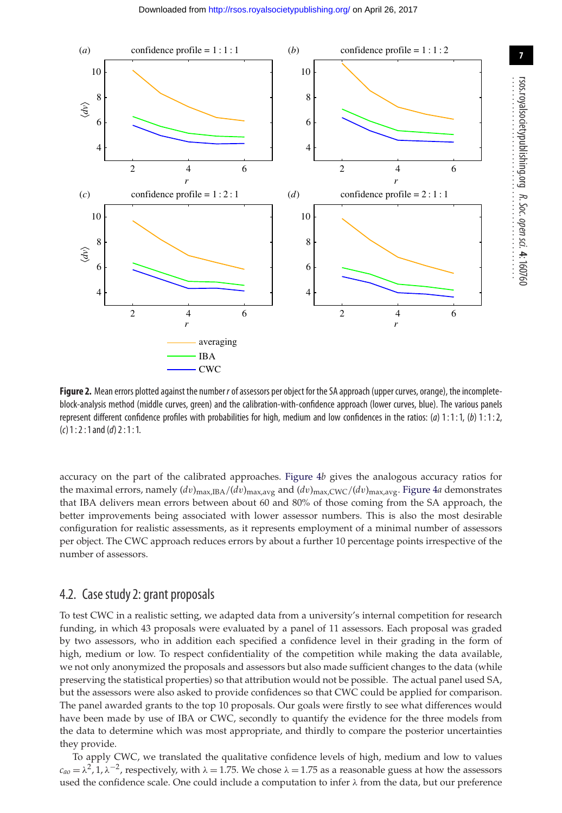

<span id="page-7-0"></span>**Figure 2.** Mean errors plotted against the number *r*of assessors per object for the SA approach (upper curves, orange), the incompleteblock-analysis method (middle curves, green) and the calibration-with-confidence approach (lower curves, blue). The various panels represent different confidence profiles with probabilities for high, medium and low confidences in the ratios: (*a*) 1 : 1 : 1, (*b*) 1 : 1 : 2, (*c*) 1 : 2 : 1 and (*d*) 2 : 1 : 1.

accuracy on the part of the calibrated approaches. [Figure 4](#page-8-0)*b* gives the analogous accuracy ratios for the maximal errors, namely  $(dv)_{\text{max,IBA}}/(dv)_{\text{max,avg}}$  and  $(dv)_{\text{max,CVC}}/(dv)_{\text{max,avg}}$ . [Figure 4](#page-8-0)*a* demonstrates that IBA delivers mean errors between about 60 and 80% of those coming from the SA approach, the better improvements being associated with lower assessor numbers. This is also the most desirable configuration for realistic assessments, as it represents employment of a minimal number of assessors per object. The CWC approach reduces errors by about a further 10 percentage points irrespective of the number of assessors.

#### 4.2. Case study 2: grant proposals

To test CWC in a realistic setting, we adapted data from a university's internal competition for research funding, in which 43 proposals were evaluated by a panel of 11 assessors. Each proposal was graded by two assessors, who in addition each specified a confidence level in their grading in the form of high, medium or low. To respect confidentiality of the competition while making the data available, we not only anonymized the proposals and assessors but also made sufficient changes to the data (while preserving the statistical properties) so that attribution would not be possible. The actual panel used SA, but the assessors were also asked to provide confidences so that CWC could be applied for comparison. The panel awarded grants to the top 10 proposals. Our goals were firstly to see what differences would have been made by use of IBA or CWC, secondly to quantify the evidence for the three models from the data to determine which was most appropriate, and thirdly to compare the posterior uncertainties they provide.

To apply CWC, we translated the qualitative confidence levels of high, medium and low to values  $c_{ao} = \lambda^2$ ,  $1, \lambda^{-2}$ , respectively, with  $\lambda = 1.75$ . We chose  $\lambda = 1.75$  as a reasonable guess at how the assessors used the confidence scale. One could include a computation to infer  $\lambda$  from the data, but our preference rsos.royalsocietypublishing.org

*R. Soc.*

 *open*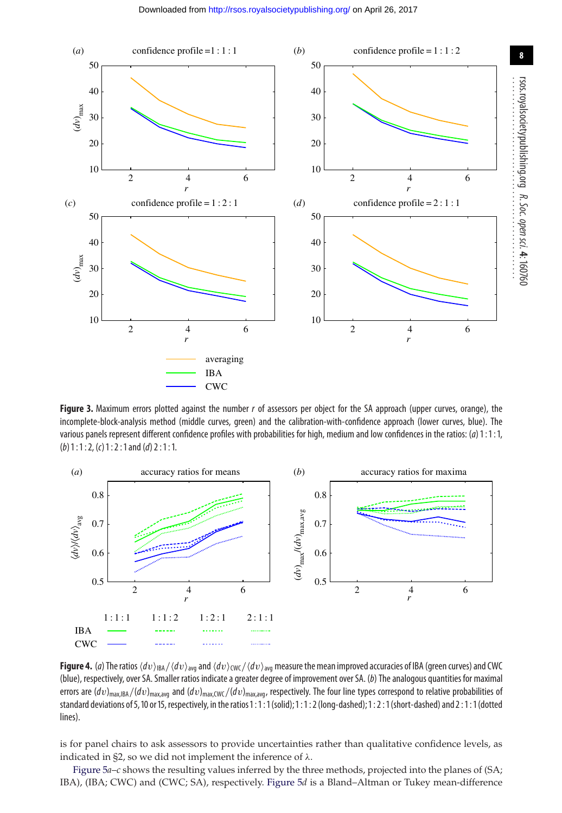

<span id="page-8-1"></span>**Figure 3.** Maximum errors plotted against the number *r* of assessors per object for the SA approach (upper curves, orange), the incomplete-block-analysis method (middle curves, green) and the calibration-with-confidence approach (lower curves, blue). The various panels represent different confidence profiles with probabilities for high, medium and low confidences in the ratios: (*a*) 1 : 1 : 1, (*b*) 1 : 1 : 2, (*c*) 1 : 2 : 1 and (*d*) 2 : 1 : 1.



<span id="page-8-0"></span>**Figure 4.** (*a*) The ratios  $\langle dv \rangle_{\text{IBA}}/\langle dv \rangle_{\text{avg}}$  and  $\langle dv \rangle_{\text{CWC}}/\langle dv \rangle_{\text{avg}}$  measure the mean improved accuracies of IBA (green curves) and CWC (blue), respectively, over SA. Smaller ratios indicate a greater degree of improvement over SA. (*b*) The analogous quantities for maximal errors are  $(dv)_{\text{max,BR}}/({dv})_{\text{max,avg}}$  and  $(dv)_{\text{max,QVC}}/({dv})_{\text{max,avg}}$ , respectively. The four line types correspond to relative probabilities of standard deviations of 5, 10 or 15, respectively, in the ratios 1 : 1 : 1 (solid); 1 : 1 : 2 (long-dashed); 1 : 2 : 1 (short-dashed) and 2 : 1 : 1 (dotted lines).

is for panel chairs to ask assessors to provide uncertainties rather than qualitative confidence levels, as indicated in §2, so we did not implement the inference of  $\lambda$ .

[Figure 5](#page-9-0)*a–c* shows the resulting values inferred by the three methods, projected into the planes of (SA; IBA), (IBA; CWC) and (CWC; SA), respectively. [Figure 5](#page-9-0)*d* is a Bland–Altman or Tukey mean-difference **8**

*R. Soc.*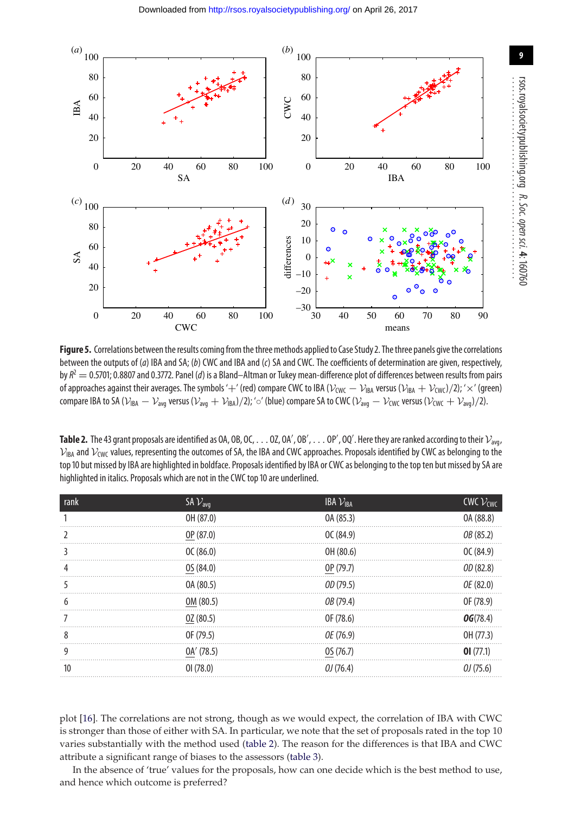

<span id="page-9-0"></span>Figure 5. Correlations between the results coming from the three methods applied to Case Study 2. The three panels give the correlations between the outputs of (*a*) IBA and SA; (*b*) CWC and IBA and (*c*) SA and CWC. The coefficients of determination are given, respectively, by  $R^2 = 0.5701$ ; 0.8807 and 0.3772. Panel (*d*) is a Bland–Altman or Tukey mean-difference plot of differences between results from pairs of approaches against their averages. The symbols '+' (red) compare CWC to IBA ( $V_{CWC} - V_{IBA}$  versus ( $V_{IBA} + V_{CWC}$ )/2); '×' (green) compare IBA to SA ( $V_{IBA} - V_{avg}$  versus ( $V_{avg} + V_{IBA}$ )/2); '்' (blue) compare SA to CWC ( $V_{avg} - V_{CWC}$  versus ( $V_{CWC} + V_{avg}$ )/2).

<span id="page-9-1"></span>**Table 2.** The 43 grant proposals are identified as OA, OB, OC, . . . OZ, OA', OB', . . . OP', OQ'. Here they are ranked according to their  $\mathcal{V}_{\text{avg}}$ ,  $V_{\text{IBA}}$  and  $V_{\text{CWC}}$  values, representing the outcomes of SA, the IBA and CWC approaches. Proposals identified by CWC as belonging to the top 10 but missed by IBA are highlighted in boldface. Proposals identified by IBA or CWC as belonging to the top ten but missed by SA are highlighted in italics. Proposals which are not in the CWC top 10 are underlined.

| rank     | $SAV_{avg}$ | <b>IBA</b> $V_{IBA}$ | <b>CWC</b> $V_{\text{CWC}}$ |
|----------|-------------|----------------------|-----------------------------|
|          | OH (87.0)   | OA (85.3)            | OA (88.8)                   |
| $\prime$ | OP (87.0)   | OC(84.9)             | OB (85.2)                   |
|          | OC(86.0)    | OH (80.6)            | OC(84.9)                    |
| 4        | OS (84.0)   | OP (79.7)            | OD (82.8)                   |
|          | OA (80.5)   | OD (79.5)            | OE (82.0)                   |
| h        | OM (80.5)   | OB (79.4)            | OF (78.9)                   |
| 7        | OZ(80.5)    | OF (78.6)            | OG(78.4)                    |
| 8        | OF (79.5)   | OE (76.9)            | OH (77.3)                   |
| 9        | OA' (78.5)  | OS(76.7)             | OI(77.1)                    |
| 10       | 01(78.0)    | QJ(76.4)             | QJ(75.6)                    |
|          |             |                      |                             |

plot [\[16\]](#page-21-15). The correlations are not strong, though as we would expect, the correlation of IBA with CWC is stronger than those of either with SA. In particular, we note that the set of proposals rated in the top 10 varies substantially with the method used [\(table 2\)](#page-9-1). The reason for the differences is that IBA and CWC attribute a significant range of biases to the assessors [\(table 3\)](#page-10-0).

In the absence of 'true' values for the proposals, how can one decide which is the best method to use, and hence which outcome is preferred?

 *open*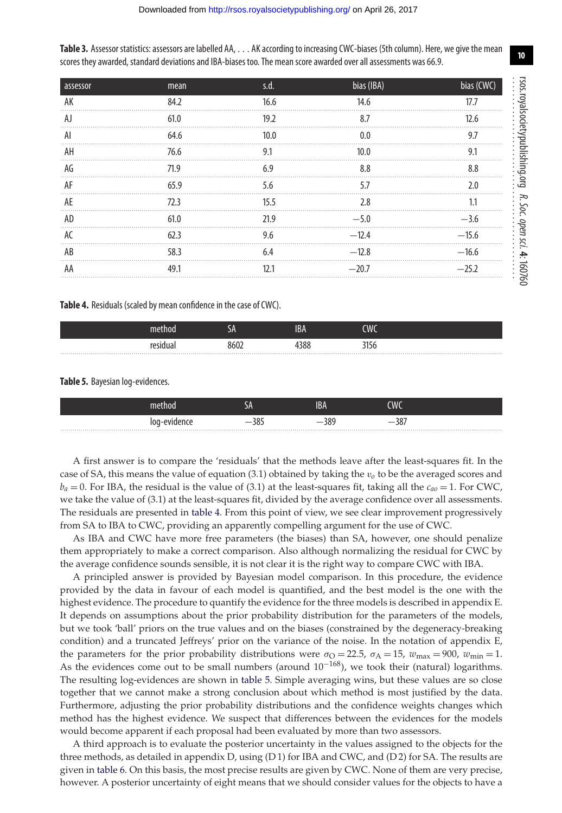rsos.royalsocietypublishing.org

*R. Soc.*

................................................

 *open*

 *sci.* **4**: 160760

| assessor | mean | s.d. | bias (IBA) | bias (CWC) |
|----------|------|------|------------|------------|
| AK       | 84.2 | 16.6 | 14.6       | 17.7       |
| AJ       | 61.0 | 19.2 | 8.7        | 12.6       |
| Al       | 64.6 | 10.0 | 0.0        | 9.7        |
| AH       | 76.6 | 9.1  | 10.0       | 9.1        |
| AG       | 71.9 | 6.9  | 8.8        | 8.8        |
| AF       | 65.9 | 5.6  | 5.7        | 2.0        |
| AE       | 72.3 | 15.5 | 2.8        | 1.1        |
| AD       | 61.0 | 21.9 | $-5.0$     | $-3.6$     |
| AC       | 62.3 | 9.6  | $-12.4$    | $-15.6$    |
| AB       | 58.3 | 6.4  | $-12.8$    | $-16.6$    |
| AA       | 49.1 | 12.1 | $-20.7$    | $-25.2$    |

<span id="page-10-0"></span>**Table 3.** Assessor statistics: assessors are labelled AA, ... AK according to increasing CWC-biases (5th column). Here, we give the mean scores they awarded, standard deviations and IBA-biases too. The mean score awarded over all assessments was 66.9.

<span id="page-10-1"></span>**Table 4.** Residuals (scaled by mean confidence in the case of CWC).

| method.              | ŊА   | <b>IBA</b> | <b>CWC</b>  |  |
|----------------------|------|------------|-------------|--|
| residua <sub>r</sub> | 8602 | 200<br>ەەد | 21F<br>סכוכ |  |

<span id="page-10-2"></span>**Table 5.** Bayesian log-evidences.

| method | SА           |       | IBA         | <b>CWC</b>   |
|--------|--------------|-------|-------------|--------------|
|        | log-evidence | n o r | con.<br>၁၀: | ົາ ດ"<br>וטכ |

A first answer is to compare the 'residuals' that the methods leave after the least-squares fit. In the case of SA, this means the value of equation (3.1) obtained by taking the v*<sup>o</sup>* to be the averaged scores and  $b_a = 0$ . For IBA, the residual is the value of (3.1) at the least-squares fit, taking all the  $c_{ao} = 1$ . For CWC, we take the value of (3.1) at the least-squares fit, divided by the average confidence over all assessments. The residuals are presented in [table 4.](#page-10-1) From this point of view, we see clear improvement progressively from SA to IBA to CWC, providing an apparently compelling argument for the use of CWC.

As IBA and CWC have more free parameters (the biases) than SA, however, one should penalize them appropriately to make a correct comparison. Also although normalizing the residual for CWC by the average confidence sounds sensible, it is not clear it is the right way to compare CWC with IBA.

A principled answer is provided by Bayesian model comparison. In this procedure, the evidence provided by the data in favour of each model is quantified, and the best model is the one with the highest evidence. The procedure to quantify the evidence for the three models is described in appendix E. It depends on assumptions about the prior probability distribution for the parameters of the models, but we took 'ball' priors on the true values and on the biases (constrained by the degeneracy-breaking condition) and a truncated Jeffreys' prior on the variance of the noise. In the notation of appendix E, the parameters for the prior probability distributions were  $\sigma_Q = 22.5$ ,  $\sigma_A = 15$ ,  $w_{\text{max}} = 900$ ,  $w_{\text{min}} = 1$ . As the evidences come out to be small numbers (around  $10^{-168}$ ), we took their (natural) logarithms. The resulting log-evidences are shown in [table 5.](#page-10-2) Simple averaging wins, but these values are so close together that we cannot make a strong conclusion about which method is most justified by the data. Furthermore, adjusting the prior probability distributions and the confidence weights changes which method has the highest evidence. We suspect that differences between the evidences for the models would become apparent if each proposal had been evaluated by more than two assessors.

A third approach is to evaluate the posterior uncertainty in the values assigned to the objects for the three methods, as detailed in appendix D, using (D 1) for IBA and CWC, and (D 2) for SA. The results are given in [table 6.](#page-11-0) On this basis, the most precise results are given by CWC. None of them are very precise, however. A posterior uncertainty of eight means that we should consider values for the objects to have a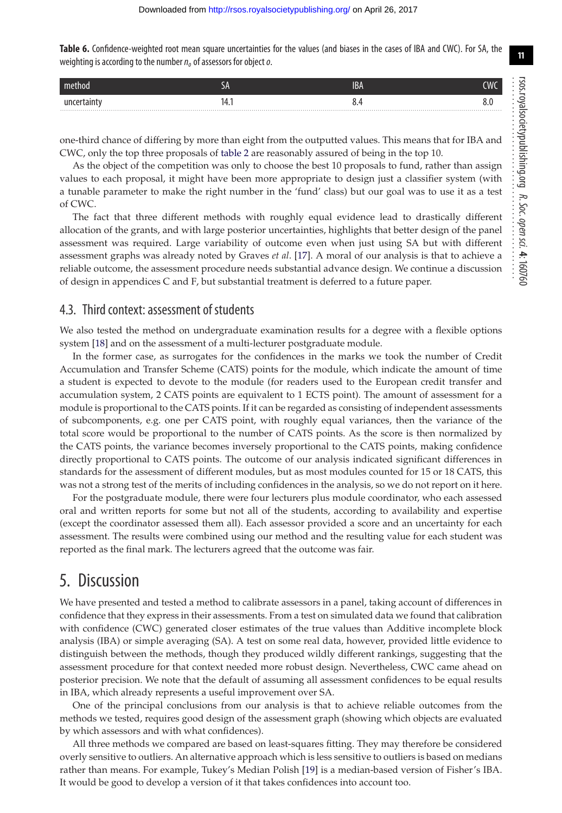<span id="page-11-0"></span>**Table 6.** Confidence-weighted root mean square uncertainties for the values (and biases in the cases of IBA and CWC). For SA, the weighting is according to the number*no* of assessors for object*o*.

| method      | ЭA   | IBA | <b><i>IMC</i></b> |
|-------------|------|-----|-------------------|
| uncertainty | 14.1 | ◡   | ο.ι               |

one-third chance of differing by more than eight from the outputted values. This means that for IBA and CWC, only the top three proposals of [table 2](#page-9-1) are reasonably assured of being in the top 10.

As the object of the competition was only to choose the best 10 proposals to fund, rather than assign values to each proposal, it might have been more appropriate to design just a classifier system (with a tunable parameter to make the right number in the 'fund' class) but our goal was to use it as a test of CWC.

The fact that three different methods with roughly equal evidence lead to drastically different allocation of the grants, and with large posterior uncertainties, highlights that better design of the panel assessment was required. Large variability of outcome even when just using SA but with different assessment graphs was already noted by Graves *et al*. [\[17\]](#page-21-16). A moral of our analysis is that to achieve a reliable outcome, the assessment procedure needs substantial advance design. We continue a discussion of design in appendices C and F, but substantial treatment is deferred to a future paper.

#### 4.3. Third context: assessment of students

We also tested the method on undergraduate examination results for a degree with a flexible options system [\[18\]](#page-21-17) and on the assessment of a multi-lecturer postgraduate module.

In the former case, as surrogates for the confidences in the marks we took the number of Credit Accumulation and Transfer Scheme (CATS) points for the module, which indicate the amount of time a student is expected to devote to the module (for readers used to the European credit transfer and accumulation system, 2 CATS points are equivalent to 1 ECTS point). The amount of assessment for a module is proportional to the CATS points. If it can be regarded as consisting of independent assessments of subcomponents, e.g. one per CATS point, with roughly equal variances, then the variance of the total score would be proportional to the number of CATS points. As the score is then normalized by the CATS points, the variance becomes inversely proportional to the CATS points, making confidence directly proportional to CATS points. The outcome of our analysis indicated significant differences in standards for the assessment of different modules, but as most modules counted for 15 or 18 CATS, this was not a strong test of the merits of including confidences in the analysis, so we do not report on it here.

For the postgraduate module, there were four lecturers plus module coordinator, who each assessed oral and written reports for some but not all of the students, according to availability and expertise (except the coordinator assessed them all). Each assessor provided a score and an uncertainty for each assessment. The results were combined using our method and the resulting value for each student was reported as the final mark. The lecturers agreed that the outcome was fair.

# 5. Discussion

We have presented and tested a method to calibrate assessors in a panel, taking account of differences in confidence that they express in their assessments. From a test on simulated data we found that calibration with confidence (CWC) generated closer estimates of the true values than Additive incomplete block analysis (IBA) or simple averaging (SA). A test on some real data, however, provided little evidence to distinguish between the methods, though they produced wildly different rankings, suggesting that the assessment procedure for that context needed more robust design. Nevertheless, CWC came ahead on posterior precision. We note that the default of assuming all assessment confidences to be equal results in IBA, which already represents a useful improvement over SA.

One of the principal conclusions from our analysis is that to achieve reliable outcomes from the methods we tested, requires good design of the assessment graph (showing which objects are evaluated by which assessors and with what confidences).

All three methods we compared are based on least-squares fitting. They may therefore be considered overly sensitive to outliers. An alternative approach which is less sensitive to outliers is based on medians rather than means. For example, Tukey's Median Polish [\[19\]](#page-21-18) is a median-based version of Fisher's IBA. It would be good to develop a version of it that takes confidences into account too.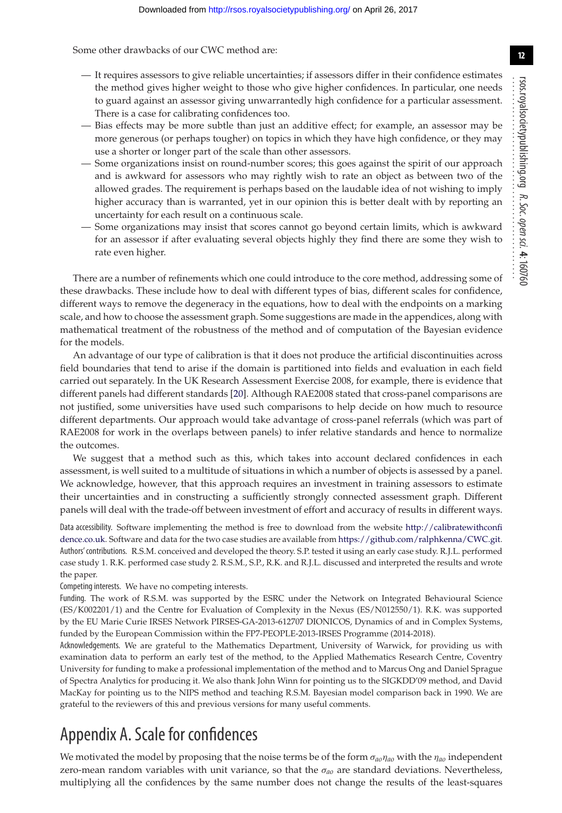Some other drawbacks of our CWC method are:

- It requires assessors to give reliable uncertainties; if assessors differ in their confidence estimates the method gives higher weight to those who give higher confidences. In particular, one needs to guard against an assessor giving unwarrantedly high confidence for a particular assessment. There is a case for calibrating confidences too.
- Bias effects may be more subtle than just an additive effect; for example, an assessor may be more generous (or perhaps tougher) on topics in which they have high confidence, or they may use a shorter or longer part of the scale than other assessors.
- Some organizations insist on round-number scores; this goes against the spirit of our approach and is awkward for assessors who may rightly wish to rate an object as between two of the allowed grades. The requirement is perhaps based on the laudable idea of not wishing to imply higher accuracy than is warranted, yet in our opinion this is better dealt with by reporting an uncertainty for each result on a continuous scale.
- Some organizations may insist that scores cannot go beyond certain limits, which is awkward for an assessor if after evaluating several objects highly they find there are some they wish to rate even higher.

There are a number of refinements which one could introduce to the core method, addressing some of these drawbacks. These include how to deal with different types of bias, different scales for confidence, different ways to remove the degeneracy in the equations, how to deal with the endpoints on a marking scale, and how to choose the assessment graph. Some suggestions are made in the appendices, along with mathematical treatment of the robustness of the method and of computation of the Bayesian evidence for the models.

An advantage of our type of calibration is that it does not produce the artificial discontinuities across field boundaries that tend to arise if the domain is partitioned into fields and evaluation in each field carried out separately. In the UK Research Assessment Exercise 2008, for example, there is evidence that different panels had different standards [\[20\]](#page-21-19). Although RAE2008 stated that cross-panel comparisons are not justified, some universities have used such comparisons to help decide on how much to resource different departments. Our approach would take advantage of cross-panel referrals (which was part of RAE2008 for work in the overlaps between panels) to infer relative standards and hence to normalize the outcomes.

We suggest that a method such as this, which takes into account declared confidences in each assessment, is well suited to a multitude of situations in which a number of objects is assessed by a panel. We acknowledge, however, that this approach requires an investment in training assessors to estimate their uncertainties and in constructing a sufficiently strongly connected assessment graph. Different panels will deal with the trade-off between investment of effort and accuracy of results in different ways.

Data accessibility. Software implementing the method is free to download from the website [http://calibratewithconfi](http://calibratewithconfidence.co.uk) [dence.co.uk.](http://calibratewithconfidence.co.uk) Software and data for the two case studies are available from [https://github.com/ralphkenna/CWC.git.](https://github.com/ralphkenna/CWC.git) Authors' contributions. R.S.M. conceived and developed the theory. S.P. tested it using an early case study. R.J.L. performed case study 1. R.K. performed case study 2. R.S.M., S.P., R.K. and R.J.L. discussed and interpreted the results and wrote the paper.

Competing interests. We have no competing interests.

Funding. The work of R.S.M. was supported by the ESRC under the Network on Integrated Behavioural Science (ES/K002201/1) and the Centre for Evaluation of Complexity in the Nexus (ES/N012550/1). R.K. was supported by the EU Marie Curie IRSES Network PIRSES-GA-2013-612707 DIONICOS, Dynamics of and in Complex Systems, funded by the European Commission within the FP7-PEOPLE-2013-IRSES Programme (2014-2018).

Acknowledgements. We are grateful to the Mathematics Department, University of Warwick, for providing us with examination data to perform an early test of the method, to the Applied Mathematics Research Centre, Coventry University for funding to make a professional implementation of the method and to Marcus Ong and Daniel Sprague of Spectra Analytics for producing it. We also thank John Winn for pointing us to the SIGKDD'09 method, and David MacKay for pointing us to the NIPS method and teaching R.S.M. Bayesian model comparison back in 1990. We are grateful to the reviewers of this and previous versions for many useful comments.

# Appendix A. Scale for confidences

We motivated the model by proposing that the noise terms be of the form σ*ao*η*ao* with the η*ao* independent zero-mean random variables with unit variance, so that the  $\sigma_{a0}$  are standard deviations. Nevertheless, multiplying all the confidences by the same number does not change the results of the least-squares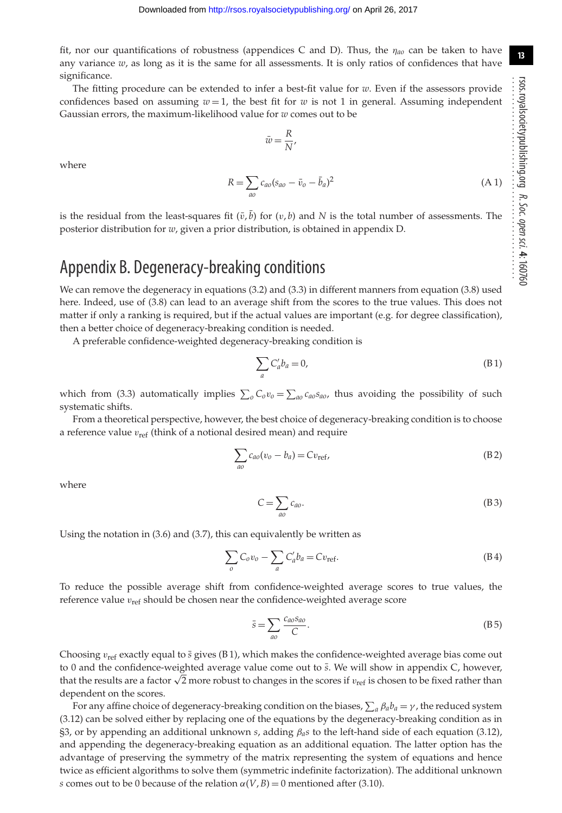fit, nor our quantifications of robustness (appendices C and D). Thus, the η*ao* can be taken to have any variance  $w$ , as long as it is the same for all assessments. It is only ratios of confidences that have significance.

The fitting procedure can be extended to infer a best-fit value for *w*. Even if the assessors provide confidences based on assuming  $w = 1$ , the best fit for *w* is not 1 in general. Assuming independent Gaussian errors, the maximum-likelihood value for *w* comes out to be

$$
\bar{w} = \frac{R}{N},
$$

where

$$
R = \sum_{a\sigma} c_{a\sigma} (s_{a\sigma} - \bar{v}_o - \bar{b}_a)^2
$$
 (A 1)

is the residual from the least-squares fit  $(\bar{v}, \bar{b})$  for  $(v, b)$  and  $N$  is the total number of assessments. The posterior distribution for *w*, given a prior distribution, is obtained in appendix D.

### Appendix B. Degeneracy-breaking conditions

We can remove the degeneracy in equations (3.2) and (3.3) in different manners from equation (3.8) used here. Indeed, use of (3.8) can lead to an average shift from the scores to the true values. This does not matter if only a ranking is required, but if the actual values are important (e.g. for degree classification), then a better choice of degeneracy-breaking condition is needed.

A preferable confidence-weighted degeneracy-breaking condition is

$$
\sum_{a} C'_{a} b_{a} = 0, \tag{B.1}
$$

which from (3.3) automatically implies  $\sum_{o} C_{o}v_{o} = \sum_{ao} c_{ao} s_{ao}$ , thus avoiding the possibility of such systematic shifts.

From a theoretical perspective, however, the best choice of degeneracy-breaking condition is to choose a reference value  $v_{\text{ref}}$  (think of a notional desired mean) and require

$$
\sum_{ao} c_{ao}(v_o - b_a) = Cv_{ref},
$$
\n(B2)

where

$$
C = \sum_{a\sigma} c_{a\sigma}.
$$
 (B 3)

Using the notation in (3.6) and (3.7), this can equivalently be written as

$$
\sum_{o} C_o v_o - \sum_{a} C'_a b_a = C v_{\text{ref}}.
$$
\n(B4)

To reduce the possible average shift from confidence-weighted average scores to true values, the reference value  $v_{\text{ref}}$  should be chosen near the confidence-weighted average score

$$
\bar{s} = \sum_{a\sigma} \frac{c_{a\sigma} s_{a\sigma}}{C}.
$$
 (B 5)

Choosing  $v_{\text{ref}}$  exactly equal to  $\bar{s}$  gives (B 1), which makes the confidence-weighted average bias come out to 0 and the confidence-weighted average value come out to  $\bar{s}$ . We will show in appendix C, however, to 0 and the connuence-weighted average value come out to s. We will show in appendix C, nowever, that the results are a factor  $\sqrt{2}$  more robust to changes in the scores if  $v_{\text{ref}}$  is chosen to be fixed rather than dependent on the scores.

For any affine choice of degeneracy-breaking condition on the biases,  $\sum_a \beta_a b_a = \gamma$ , the reduced system (3.12) can be solved either by replacing one of the equations by the degeneracy-breaking condition as in §3, or by appending an additional unknown *s*, adding β*as* to the left-hand side of each equation (3.12), and appending the degeneracy-breaking equation as an additional equation. The latter option has the advantage of preserving the symmetry of the matrix representing the system of equations and hence twice as efficient algorithms to solve them (symmetric indefinite factorization). The additional unknown *s* comes out to be 0 because of the relation  $\alpha(V, B) = 0$  mentioned after (3.10).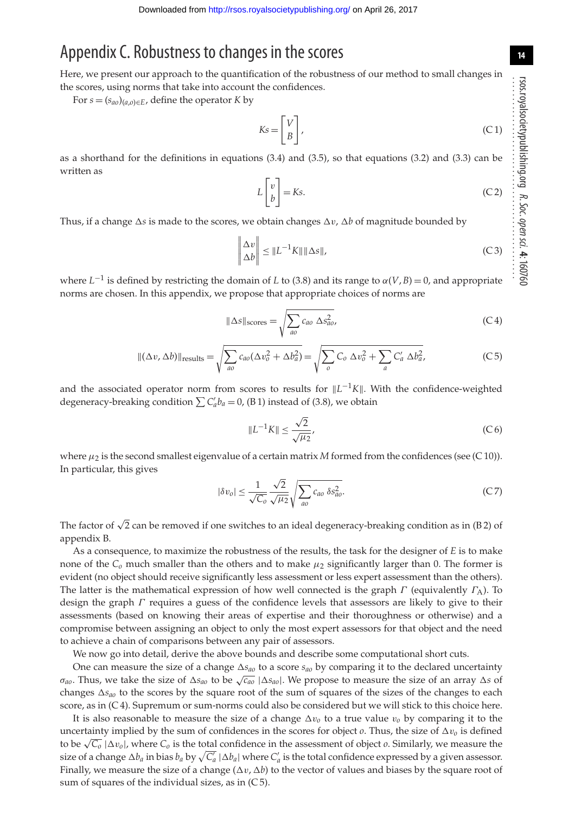## Appendix C. Robustness to changes in the scores

Here, we present our approach to the quantification of the robustness of our method to small changes in the scores, using norms that take into account the confidences.

For  $s = (s_{a0})_{(a,o) \in E}$ , define the operator *K* by

$$
Ks = \begin{bmatrix} V \\ B \end{bmatrix},\tag{C.1}
$$

as a shorthand for the definitions in equations (3.4) and (3.5), so that equations (3.2) and (3.3) can be written as

$$
L\begin{bmatrix} v \\ b \end{bmatrix} = Ks. \tag{C2}
$$

Thus, if a change  $\Delta s$  is made to the scores, we obtain changes  $\Delta v$ ,  $\Delta b$  of magnitude bounded by

$$
\left\| \begin{array}{c} \Delta v \\ \Delta b \end{array} \right\| \le \| L^{-1} K \| \|\Delta s \|, \tag{C.3}
$$

where  $L^{-1}$  is defined by restricting the domain of *L* to (3.8) and its range to  $\alpha(V, B) = 0$ , and appropriate norms are chosen. In this appendix, we propose that appropriate choices of norms are

$$
\|\Delta s\|_{\text{scores}} = \sqrt{\sum_{ao} c_{a o} \Delta s_{a o}^2},\tag{C4}
$$

$$
\|(\Delta v, \Delta b)\|_{\text{results}} = \sqrt{\sum_{ao} c_{ao} (\Delta v_o^2 + \Delta b_a^2)} = \sqrt{\sum_o C_o \Delta v_o^2 + \sum_a C'_a \Delta b_a^2},\tag{C.5}
$$

and the associated operator norm from scores to results for  $||L^{-1}K||$ . With the confidence-weighted degeneracy-breaking condition  $\sum C'_a b_a = 0$ , (B 1) instead of (3.8), we obtain

$$
||L^{-1}K|| \le \frac{\sqrt{2}}{\sqrt{\mu_2}},
$$
 (C6)

where  $\mu_2$  is the second smallest eigenvalue of a certain matrix *M* formed from the confidences (see (C 10)). In particular, this gives √

$$
|\delta v_o| \le \frac{1}{\sqrt{C_o}} \frac{\sqrt{2}}{\sqrt{\mu_2}} \sqrt{\sum_{ao} c_{ao} \delta s_{ao}^2}.
$$
 (C7)

The factor of  $\sqrt{2}$  can be removed if one switches to an ideal degeneracy-breaking condition as in (B2) of appendix B.

As a consequence, to maximize the robustness of the results, the task for the designer of *E* is to make none of the  $C_0$  much smaller than the others and to make  $\mu_2$  significantly larger than 0. The former is evident (no object should receive significantly less assessment or less expert assessment than the others). The latter is the mathematical expression of how well connected is the graph  $\Gamma$  (equivalently  $\Gamma_A$ ). To design the graph  $\Gamma$  requires a guess of the confidence levels that assessors are likely to give to their assessments (based on knowing their areas of expertise and their thoroughness or otherwise) and a compromise between assigning an object to only the most expert assessors for that object and the need to achieve a chain of comparisons between any pair of assessors.

We now go into detail, derive the above bounds and describe some computational short cuts.

One can measure the size of a change  $\Delta s_{ao}$  to a score  $s_{ao}$  by comparing it to the declared uncertainty  $σ<sub>a</sub>$ . Thus, we take the size of Δ*s<sub>ao</sub>* to be  $\sqrt{c_{ao}}$  |Δ*s<sub>ao</sub>*]. We propose to measure the size of an array Δ*s* of changes  $\Delta s_{ao}$  to the scores by the square root of the sum of squares of the sizes of the changes to each score, as in (C4). Supremum or sum-norms could also be considered but we will stick to this choice here.

It is also reasonable to measure the size of a change  $\Delta v_o$  to a true value  $v_o$  by comparing it to the uncertainty implied by the sum of confidences in the scores for object  $o$ . Thus, the size of  $\Delta v_o$  is defined to be  $\sqrt{C_0}$   $\Delta v_0$ , where  $C_0$  is the total confidence in the assessment of object *o*. Similarly, we measure the size of a change  $\Delta b_a$  in bias  $b_a$  by  $\sqrt{C'_a}$   $|\Delta b_a|$  where  $C'_a$  is the total confidence expressed by a given assessor. Finally, we measure the size of a change ( $\Delta v$ ,  $\Delta b$ ) to the vector of values and biases by the square root of sum of squares of the individual sizes, as in  $(C5)$ .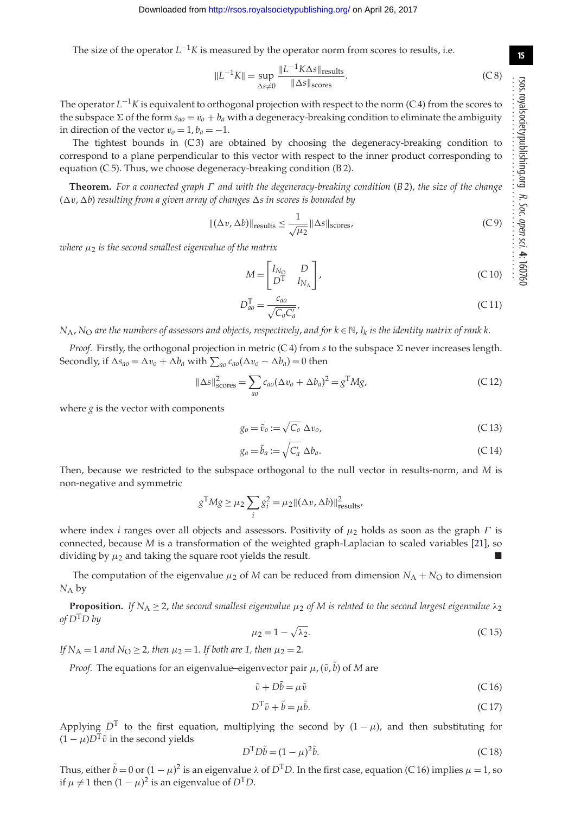The size of the operator  $L^{-1}K$  is measured by the operator norm from scores to results, i.e.

$$
||L^{-1}K|| = \sup_{\Delta s \neq 0} \frac{||L^{-1}K\Delta s||_{\text{results}}}{||\Delta s||_{\text{scores}}}.
$$
 (C 8)

The operator *L*−1*K* is equivalent to orthogonal projection with respect to the norm (C 4) from the scores to the subspace  $\Sigma$  of the form  $s_{a0} = v_o + b_a$  with a degeneracy-breaking condition to eliminate the ambiguity in direction of the vector  $v_0 = 1$ ,  $b_a = -1$ .

The tightest bounds in (C3) are obtained by choosing the degeneracy-breaking condition to correspond to a plane perpendicular to this vector with respect to the inner product corresponding to equation  $(C5)$ . Thus, we choose degeneracy-breaking condition  $(B2)$ .

**Theorem.** *For a connected graph* Γ *and with the degeneracy-breaking condition* (*B 2*), *the size of the change* ( v, *b*) *resulting from a given array of changes s in scores is bounded by*

$$
\|(\Delta v, \Delta b)\|_{\text{results}} \le \frac{1}{\sqrt{\mu_2}} \|\Delta s\|_{\text{scores}},\tag{C.9}
$$

 $where \mu_2$  *is the second smallest eigenvalue of the matrix* 

$$
M = \begin{bmatrix} I_{N_O} & D \\ D^{\mathrm{T}} & I_{N_A} \end{bmatrix},\tag{C.10}
$$

$$
D_{ao}^{\mathrm{T}} = \frac{c_{ao}}{\sqrt{C_o C_a'}}
$$
\n(C11)

 $N_A$ ,  $N_O$  *are the numbers of assessors and objects, respectively, and for*  $k \in \mathbb{N}$ , *I<sub>k</sub> is the identity matrix of rank k.* 

*Proof.* Firstly, the orthogonal projection in metric (C 4) from *s* to the subspace Σ never increases length. Secondly, if  $\Delta s_{a0} = \Delta v_o + \Delta b_a$  with  $\sum_{a0} c_{a0} (\Delta v_o - \Delta b_a) = 0$  then

$$
\|\Delta s\|_{\text{scores}}^2 = \sum_{a o} c_{a o} (\Delta v_o + \Delta b_a)^2 = g^{\text{T}} Mg,\tag{C12}
$$

where  $g$  is the vector with components

$$
g_0 = \tilde{v}_0 := \sqrt{C_0} \, \Delta v_0,\tag{C.13}
$$

$$
g_a = \tilde{b}_a := \sqrt{C'_a} \Delta b_a.
$$
 (C14)

Then, because we restricted to the subspace orthogonal to the null vector in results-norm, and *M* is non-negative and symmetric

$$
g^{\text{T}}Mg \ge \mu_2 \sum_i g_i^2 = \mu_2 ||(\Delta v, \Delta b)||_{\text{results}}^2
$$

where index *i* ranges over all objects and assessors. Positivity of  $\mu_2$  holds as soon as the graph  $\Gamma$  is connected, because *M* is a transformation of the weighted graph-Laplacian to scaled variables [\[21\]](#page-21-20), so dividing by  $\mu_2$  and taking the square root yields the result.

The computation of the eigenvalue  $\mu_2$  of *M* can be reduced from dimension  $N_A + N_O$  to dimension *N*<sup>A</sup> by

**Proposition.** *If*  $N_A \geq 2$ , *the second smallest eigenvalue*  $\mu_2$  *of M is related to the second largest eigenvalue*  $\lambda_2$ *of D*T*D by*

$$
\mu_2 = 1 - \sqrt{\lambda_2}.\tag{C.15}
$$

*If*  $N_A = 1$  *and*  $N_O \ge 2$ *, then*  $\mu_2 = 1$ *. If both are* 1*, then*  $\mu_2 = 2$ *.* 

*Proof.* The equations for an eigenvalue–eigenvector pair  $\mu$ , ( $\tilde{v}$ ,  $\tilde{b}$ ) of *M* are

$$
\tilde{v} + D\tilde{b} = \mu \tilde{v} \tag{C16}
$$

$$
D^{\mathrm{T}}\tilde{v} + \tilde{b} = \mu\tilde{b}.\tag{C.17}
$$

Applying  $D^T$  to the first equation, multiplying the second by  $(1 - \mu)$ , and then substituting for  $(1 - \mu)D^{T}\tilde{v}$  in the second yields

$$
D^{\mathrm{T}} D\tilde{b} = (1 - \mu)^2 \tilde{b}.
$$
 (C.18)

Thus, either  $\tilde{b} = 0$  or  $(1 - \mu)^2$  is an eigenvalue  $\lambda$  of  $D^T D$ . In the first case, equation (C 16) implies  $\mu = 1$ , so if  $\mu \neq 1$  then  $(1 - \mu)^2$  is an eigenvalue of  $D^T D$ .

**15**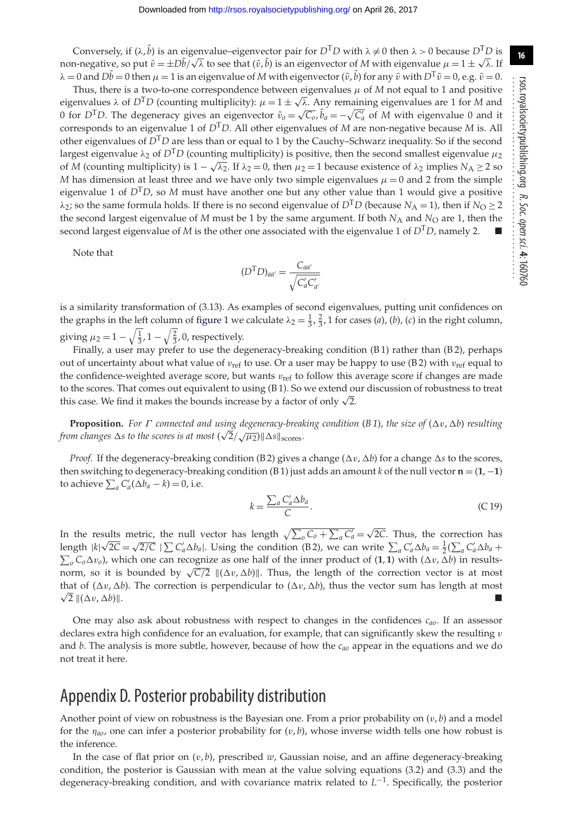Conversely, if  $(\lambda, \tilde{b})$  is an eigenvalue–eigenvector pair for  $D^T D$  with  $\lambda \neq 0$  then  $\lambda > 0$  because  $D^T D$  is Conversery, in  $(x, v)$  is an eigenvalue-eigenvector pair for *D* D with  $x \neq 0$  then  $x > 0$  because D D is non-negative, so put  $\tilde{v} = \pm D\tilde{b}/\sqrt{x}$  to see that  $(\tilde{v}, \tilde{b})$  is an eigenvector of *M* with eigenvalue  $\$  $\lambda = 0$  and  $D\tilde{b} = 0$  then  $\mu = 1$  is an eigenvalue of *M* with eigenvector  $(\tilde{v}, \tilde{b})$  for any  $\tilde{v}$  with  $D^T \tilde{v} = 0$ , e.g.  $\tilde{v} = 0$ .

Thus, there is a two-to-one correspondence between eigenvalues  $\mu$  of  $M$  not equal to 1 and positive eigenvalues  $\lambda$  of  $D^TD$  (counting multiplicity):  $\mu = 1 \pm \sqrt{\lambda}$ . Any remaining eigenvalues are 1 for *M* and 0 for *D*<sup>T</sup>*D*. The degeneracy gives an eigenvector  $\tilde{v}_o = \sqrt{C_o}$ ,  $\tilde{b}_a = -\sqrt{C_a}$  of *M* with eigenvalue 0 and it is corresponds to an eigenvalue 1 of  $D<sup>T</sup>D$ . All other eigenvalues of *M* are non-negative because *M* is. All other eigenvalues of  $D<sup>T</sup>D$  are less than or equal to 1 by the Cauchy–Schwarz inequality. So if the second largest eigenvalue  $\lambda_2$  of  $D^TD$  (counting multiplicity) is positive, then the second smallest eigenvalue  $\mu_2$ of *M* (counting multiplicity) is  $1 - \sqrt{\lambda_2}$ . If  $\lambda_2 = 0$ , then  $\mu_2 = 1$  because existence of  $\lambda_2$  implies  $N_A \ge 2$  so *M* has dimension at least three and we have only two simple eigenvalues  $\mu = 0$  and 2 from the simple eigenvalue 1 of  $D<sup>T</sup>D$ , so *M* must have another one but any other value than 1 would give a positive  $\lambda_2$ ; so the same formula holds. If there is no second eigenvalue of  $D^TD$  (because  $N_A = 1$ ), then if  $N_Q \ge 2$ the second largest eigenvalue of  $M$  must be 1 by the same argument. If both  $N_A$  and  $N_O$  are 1, then the second largest eigenvalue of *M* is the other one associated with the eigenvalue 1 of  $D<sup>T</sup>D$ , namely 2.

Note that

$$
(D^{\mathrm{T}}D)_{aa'}=\frac{C_{aa'}}{\sqrt{C'_aC'_{a'}}}
$$

is a similarity transformation of (3.13). As examples of second eigenvalues, putting unit confidences on the graphs in the left column of [figure 1](#page-3-0) we calculate  $\lambda_2 = \frac{1}{3}, \frac{2}{3}$ , 1 for cases (*a*), (*b*), (*c*) in the right column, giving  $\mu_2 = 1 - \sqrt{\frac{1}{3}}, 1 - \sqrt{\frac{2}{3}}, 0$ , respectively.

Finally, a user may prefer to use the degeneracy-breaking condition (B 1) rather than (B 2), perhaps out of uncertainty about what value of  $v_{\text{ref}}$  to use. Or a user may be happy to use (B2) with  $v_{\text{ref}}$  equal to the confidence-weighted average score, but wants  $v_{ref}$  to follow this average score if changes are made to the scores. That comes out equivalent to using (B 1). So we extend our discussion of robustness to treat to the scores. That comes out equivalent to using (b 1). So we extend on<br>this case. We find it makes the bounds increase by a factor of only  $\sqrt{2}$ .

**Proposition.** For Γ connected and using degeneracy-breaking condition (B1), the size of (Δv, Δb) resulting *from changes*  $\Delta s$  *to the scores is at most*  $(\sqrt{2}/\sqrt{\mu_2})||\Delta s||_{\text{scores}}$ .

*Proof.* If the degeneracy-breaking condition (B2) gives a change ( $\Delta v$ ,  $\Delta b$ ) for a change  $\Delta s$  to the scores, then switching to degeneracy-breaking condition (B 1) just adds an amount *k* of the null vector  $\mathbf{n} = (1, -1)$ to achieve  $\sum_{a} C'_{a}(\Delta b_{a} - k) = 0$ , i.e.

$$
k = \frac{\sum_{a} C'_{a} \Delta b_{a}}{C}.
$$
 (C.19)

In the results metric, the null vector has length  $\sqrt{\sum_{o} C_{o} + \sum_{a} C'_{a}} = \sqrt{2C}$ . Thus, the correction has length  $|k|\sqrt{2C} = \sqrt{2/C}$   $|\sum C'_a \Delta b_a|$ . Using the condition (B2), we can write  $\sum_a C'_a \Delta b_a = \frac{1}{2} (\sum_a C'_a \Delta b_a +$  $\sum_{o} C_{o} \Delta v_{o}$ ), which one can recognize as one half of the inner product of (1, 1) with ( $\Delta v$ ,  $\Delta b$ ) in results- $\sum_{o}$   $\sigma_o \Delta v_o$ , which one can recognize as one han or the finite product of (1, 1) whit ( $\Delta v$ ,  $\Delta v$ ) in results-<br>norm, so it is bounded by  $\sqrt{C/2}$   $\left\|(\Delta v, \Delta b)\right\|$ . Thus, the length of the correction vector is at that of  $(\Delta v, \Delta b)$ . The correction is perpendicular to  $(\Delta v, \Delta b)$ , thus the vector sum has length at most  $2 \parallel (\Delta v, \Delta)$  $b$ )||.

One may also ask about robustness with respect to changes in the confidences *cao*. If an assessor declares extra high confidence for an evaluation, for example, that can significantly skew the resulting  $v$ and *b*. The analysis is more subtle, however, because of how the *cao* appear in the equations and we do not treat it here.

### Appendix D. Posterior probability distribution

Another point of view on robustness is the Bayesian one. From a prior probability on (v, *b*) and a model for the  $\eta_{a0}$ , one can infer a posterior probability for  $(v, b)$ , whose inverse width tells one how robust is the inference.

In the case of flat prior on  $(v, b)$ , prescribed  $w$ , Gaussian noise, and an affine degeneracy-breaking condition, the posterior is Gaussian with mean at the value solving equations (3.2) and (3.3) and the degeneracy-breaking condition, and with covariance matrix related to *L*<sup>−</sup>1. Specifically, the posterior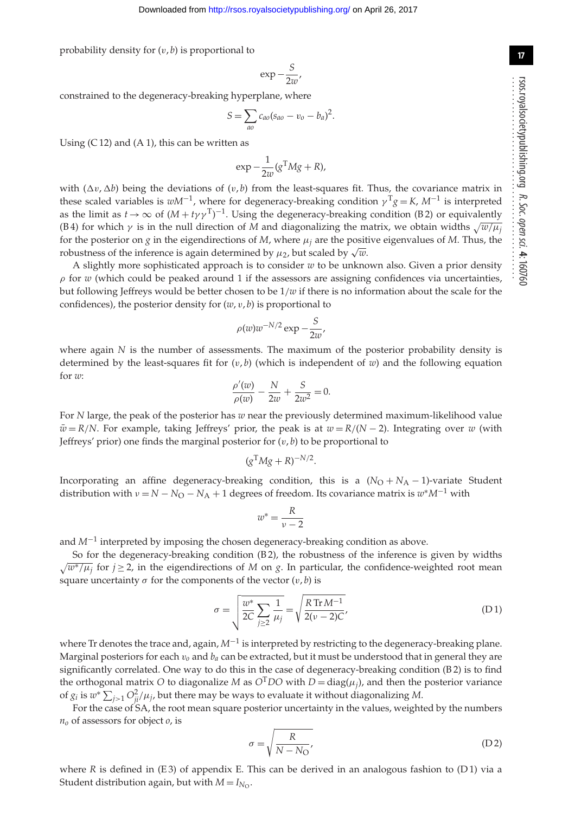probability density for (v, *b*) is proportional to

$$
\exp{-\frac{S}{2w'}}
$$

constrained to the degeneracy-breaking hyperplane, where

$$
S = \sum_{a0} c_{a0} (s_{a0} - v_o - b_a)^2.
$$

Using  $(C 12)$  and  $(A 1)$ , this can be written as

$$
\exp -\frac{1}{2w}(g^{\mathrm{T}}Mg + R),
$$

with  $(\Delta v, \Delta b)$  being the deviations of  $(v, b)$  from the least-squares fit. Thus, the covariance matrix in these scaled variables is  $wM^{-1}$ , where for degeneracy-breaking condition  $\gamma^T g = K$ ,  $M^{-1}$  is interpreted as the limit as  $t \to \infty$  of  $(M + t\gamma \gamma^{T})^{-1}$ . Using the degeneracy-breaking condition (B2) or equivalently (B4) for which  $\gamma$  is in the null direction of *M* and diagonalizing the matrix, we obtain widths  $\sqrt{w/\mu}$ *j* for the posterior on  $g$  in the eigendirections of  $M$ , where  $\mu_j$  are the positive eigenvalues of  $M$ . Thus, the robustness of the inference is again determined by  $\mu_2$ , but scaled by  $\sqrt{w}$ .

A slightly more sophisticated approach is to consider *w* to be unknown also. Given a prior density  $\rho$  for *w* (which could be peaked around 1 if the assessors are assigning confidences via uncertainties, but following Jeffreys would be better chosen to be 1/*w* if there is no information about the scale for the confidences), the posterior density for (*w*, v, *b*) is proportional to

$$
\rho(w)w^{-N/2}\exp{-\frac{S}{2w}},
$$

where again *N* is the number of assessments. The maximum of the posterior probability density is determined by the least-squares fit for  $(v, b)$  (which is independent of  $w$ ) and the following equation for *w*:  $\rho'$ 

$$
\frac{\rho'(w)}{\rho(w)} - \frac{N}{2w} + \frac{S}{2w^2} = 0.
$$

For *N* large, the peak of the posterior has *w* near the previously determined maximum-likelihood value  $\bar{w} = R/N$ . For example, taking Jeffreys' prior, the peak is at  $w = R/(N - 2)$ . Integrating over *w* (with Jeffreys' prior) one finds the marginal posterior for  $(v, b)$  to be proportional to

$$
(g^{\mathrm{T}}Mg + R)^{-N/2}.
$$

Incorporating an affine degeneracy-breaking condition, this is a  $(N_O + N_A - 1)$ -variate Student distribution with  $v = N - N_O - N_A + 1$  degrees of freedom. Its covariance matrix is  $w^*M^{-1}$  with

$$
w^* = \frac{R}{\nu - 2}
$$

and *M*−<sup>1</sup> interpreted by imposing the chosen degeneracy-breaking condition as above.

So for the degeneracy-breaking condition (B 2), the robustness of the inference is given by widths  $\sqrt{w^*/\mu_j}$  for  $j \ge 2$ , in the eigendirections of *M* on *g*. In particular, the confidence-weighted root mean square uncertainty  $\sigma$  for the components of the vector  $(v, b)$  is

$$
\sigma = \sqrt{\frac{w^*}{2C} \sum_{j \ge 2} \frac{1}{\mu_j}} = \sqrt{\frac{R \text{Tr} M^{-1}}{2(\nu - 2)C}},
$$
 (D1)

where Tr denotes the trace and, again, *M*−<sup>1</sup> is interpreted by restricting to the degeneracy-breaking plane. Marginal posteriors for each  $v<sub>o</sub>$  and  $b<sub>a</sub>$  can be extracted, but it must be understood that in general they are significantly correlated. One way to do this in the case of degeneracy-breaking condition (B 2) is to find the orthogonal matrix *O* to diagonalize *M* as  $O<sup>T</sup>DO$  with  $D = diag(\mu_j)$ , and then the posterior variance of  $g_i$  is  $w^* \sum_{j>1} O_{ji}^2/\mu_j$ , but there may be ways to evaluate it without diagonalizing *M*.

For the case of SA, the root mean square posterior uncertainty in the values, weighted by the numbers *no* of assessors for object *o*, is

$$
\sigma = \sqrt{\frac{R}{N - N_{\rm O}}},\tag{D2}
$$

where  $R$  is defined in  $(E3)$  of appendix E. This can be derived in an analogous fashion to  $(D1)$  via a Student distribution again, but with  $M = I_{N_O}$ .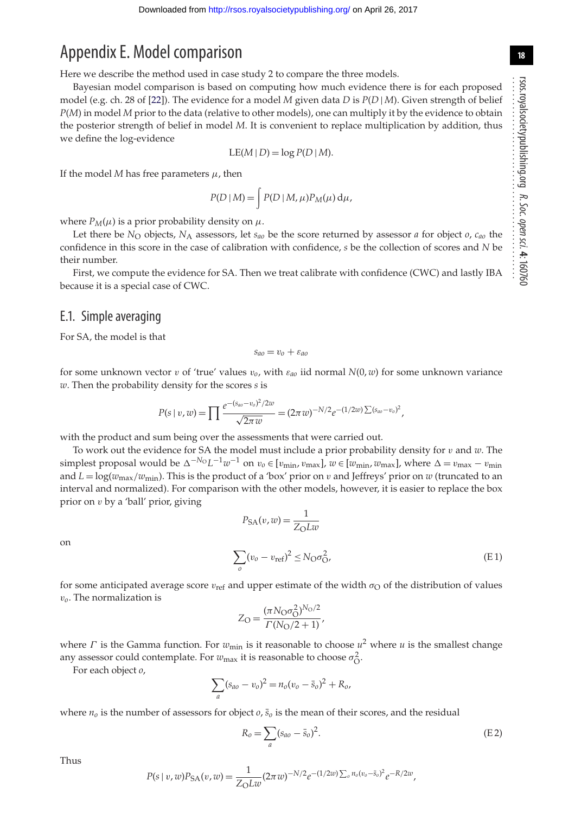## Appendix E. Model comparison

Here we describe the method used in case study 2 to compare the three models.

Bayesian model comparison is based on computing how much evidence there is for each proposed model (e.g. ch. 28 of [\[22\]](#page-21-21)). The evidence for a model *M* given data *D* is *P*(*D* | *M*). Given strength of belief *P*(*M*) in model *M* prior to the data (relative to other models), one can multiply it by the evidence to obtain the posterior strength of belief in model *M*. It is convenient to replace multiplication by addition, thus we define the log-evidence

$$
LE(M | D) = \log P(D | M).
$$

If the model *M* has free parameters  $\mu$ , then

$$
P(D \mid M) = \int P(D \mid M, \mu) P_M(\mu) d\mu,
$$

where  $P_M(\mu)$  is a prior probability density on  $\mu$ .

Let there be  $N_Q$  objects,  $N_A$  assessors, let  $s_{a0}$  be the score returned by assessor *a* for object *o*,  $c_{a0}$  the confidence in this score in the case of calibration with confidence, *s* be the collection of scores and *N* be their number.

First, we compute the evidence for SA. Then we treat calibrate with confidence (CWC) and lastly IBA because it is a special case of CWC.

#### E.1. Simple averaging

For SA, the model is that

$$
s_{a0}=v_o+\varepsilon_{a0}
$$

for some unknown vector v of 'true' values v*o*, with ε*ao* iid normal *N*(0, *w*) for some unknown variance *w*. Then the probability density for the scores *s* is

$$
P(s \mid v, w) = \prod \frac{e^{-(s_{ao} - v_o)^2/2w}}{\sqrt{2\pi w}} = (2\pi w)^{-N/2} e^{-(1/2w)\sum (s_{ao} - v_o)^2},
$$

with the product and sum being over the assessments that were carried out.

To work out the evidence for SA the model must include a prior probability density for v and *w*. The simplest proposal would be  $\Delta^{-N_0} L^{-1} w^{-1}$  on  $v_0 \in [v_{\min}, v_{\max}]$ ,  $w \in [w_{\min}, w_{\max}]$ , where  $\Delta = v_{\max} - v_{\min}$ and  $L = \log(w_{\text{max}}/w_{\text{min}})$ . This is the product of a 'box' prior on *v* and Jeffreys' prior on *w* (truncated to an interval and normalized). For comparison with the other models, however, it is easier to replace the box prior on v by a 'ball' prior, giving

$$
P_{SA}(v, w) = \frac{1}{Z_{O}Lw}
$$

$$
\sum_{o} (v_o - v_{ref})^2 \le N_{O}\sigma_{O'}^2
$$
(E1)

on

for some anticipated average score  $v_{\text{ref}}$  and upper estimate of the width  $\sigma_{\text{O}}$  of the distribution of values v*o*. The normalization is

$$
Z_{\rm O} = \frac{(\pi N_{\rm O}\sigma_{\rm O}^2)^{N_{\rm O}/2}}{\Gamma(N_{\rm O}/2 + 1)},
$$

where  $\Gamma$  is the Gamma function. For  $w_{\text{min}}$  is it reasonable to choose  $u^2$  where  $u$  is the smallest change any assessor could contemplate. For  $w_{\text{max}}$  it is reasonable to choose  $\sigma_{\text{O}}^2$ .

For each object *o*,

$$
\sum_{a}(s_{ao} - v_o)^2 = n_o(v_o - \bar{s}_o)^2 + R_o,
$$

where  $n_0$  is the number of assessors for object  $o$ ,  $\bar{s}_0$  is the mean of their scores, and the residual

$$
R_o = \sum_a (s_{ao} - \bar{s}_o)^2.
$$
 (E2)

Thus

$$
P(s \mid v, w) P_{SA}(v, w) = \frac{1}{Z_0 L w} (2 \pi w)^{-N/2} e^{-(1/2w) \sum_{\sigma} n_o (v_o - \bar{s}_o)^2} e^{-R/2w},
$$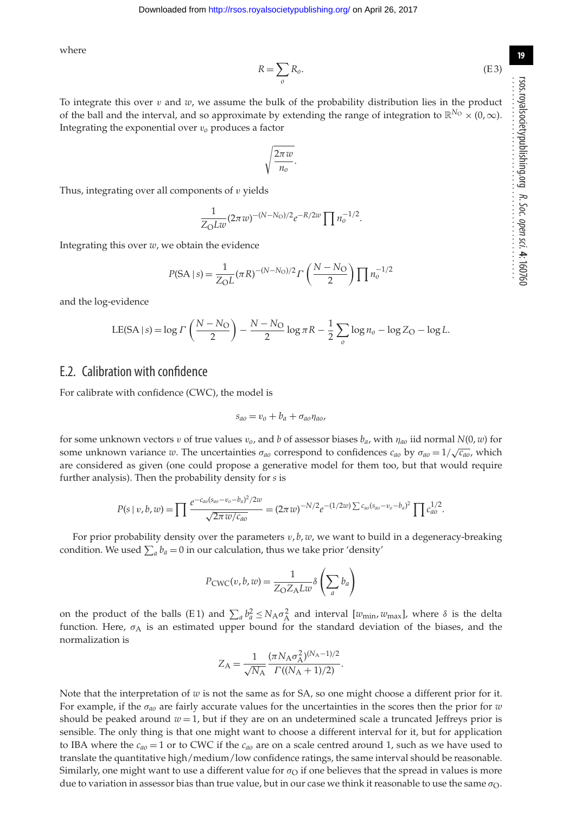where

$$
R = \sum_{o} R_o.
$$
 (E3)

To integrate this over v and *w*, we assume the bulk of the probability distribution lies in the product of the ball and the interval, and so approximate by extending the range of integration to  $\mathbb{R}^{N_Q} \times (0,\infty)$ . Integrating the exponential over v*<sup>o</sup>* produces a factor

$$
\sqrt{\frac{2\pi w}{n_o}}.
$$

Thus, integrating over all components of  $v$  yields

$$
\frac{1}{Z_{\rm O}Lw}(2\pi w)^{-(N-N_{\rm O})/2}e^{-R/2w}\prod n_{\rm o}^{-1/2}.
$$

Integrating this over *w*, we obtain the evidence

$$
P(SA \mid s) = \frac{1}{Z_{\rm O}L} (\pi R)^{-(N-N_{\rm O})/2} \Gamma \left( \frac{N-N_{\rm O}}{2} \right) \prod n_{\rm o}^{-1/2}
$$

and the log-evidence

$$
LE(SA | s) = \log \Gamma \left( \frac{N - N_O}{2} \right) - \frac{N - N_O}{2} \log \pi R - \frac{1}{2} \sum_{o} \log n_o - \log Z_O - \log L.
$$

#### E.2. Calibration with confidence

For calibrate with confidence (CWC), the model is

$$
s_{ao} = v_o + b_a + \sigma_{ao} \eta_{ao},
$$

for some unknown vectors v of true values  $v_0$ , and b of assessor biases  $b_a$ , with  $\eta_{ao}$  iid normal  $N(0, w)$  for some unknown variance *w*. The uncertainties  $\sigma_{a_0}$  correspond to confidences  $c_{a_0}$  by  $\sigma_{a_0} = 1/\sqrt{c_{a_0}}$ , which are considered as given (one could propose a generative model for them too, but that would require further analysis). Then the probability density for *s* is

$$
P(s \mid v, b, w) = \prod_{\alpha} \frac{e^{-c_{a\alpha}(s_{a\alpha} - v_o - b_a)^2/2w}}{\sqrt{2\pi w/c_{a\alpha}}} = (2\pi w)^{-N/2} e^{-(1/2w)\sum c_{a\alpha}(s_{a\alpha} - v_o - b_a)^2} \prod_{\alpha} c_{a\alpha}^{1/2}.
$$

For prior probability density over the parameters  $v, b, w$ , we want to build in a degeneracy-breaking condition. We used  $\sum_a b_a = 0$  in our calculation, thus we take prior 'density'

$$
P_{\text{CWC}}(v, b, w) = \frac{1}{Z_{\text{O}} Z_{\text{A}} L w} \delta \left(\sum_{a} b_{a}\right)
$$

on the product of the balls (E1) and  $\sum_a b_a^2 \le N_A \sigma_A^2$  and interval  $[w_{\min}, w_{\max}]$ , where  $\delta$  is the delta function. Here,  $\sigma_A$  is an estimated upper bound for the standard deviation of the biases, and the normalization is

$$
Z_{\rm A} = \frac{1}{\sqrt{N_{\rm A}}} \frac{(\pi N_{\rm A} \sigma_{\rm A}^2)^{(N_{\rm A}-1)/2}}{\Gamma((N_{\rm A}+1)/2)}.
$$

Note that the interpretation of *w* is not the same as for SA, so one might choose a different prior for it. For example, if the σ*ao* are fairly accurate values for the uncertainties in the scores then the prior for *w* should be peaked around  $w = 1$ , but if they are on an undetermined scale a truncated Jeffreys prior is sensible. The only thing is that one might want to choose a different interval for it, but for application to IBA where the *cao* = 1 or to CWC if the *cao* are on a scale centred around 1, such as we have used to translate the quantitative high/medium/low confidence ratings, the same interval should be reasonable. Similarly, one might want to use a different value for  $\sigma_{\Omega}$  if one believes that the spread in values is more due to variation in assessor bias than true value, but in our case we think it reasonable to use the same  $\sigma_{\Omega}$ .

rsos.royalsocietypublishing.org

*R. Soc.*

 *open*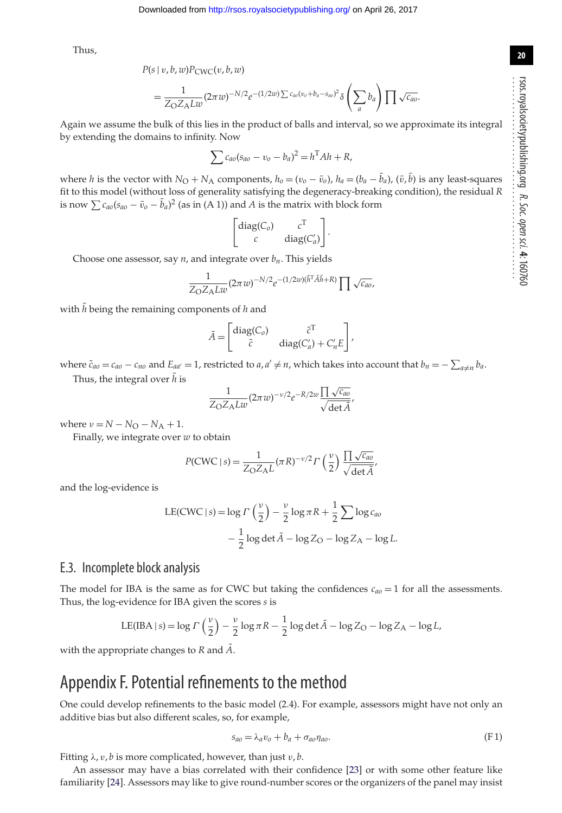Thus,

 $P(s | v, b, w)P_{\text{CWC}}(v, b, w)$ 

$$
=\frac{1}{Z_{\rm O}Z_{\rm A}Lw}(2\pi w)^{-N/2}e^{-(1/2w)\sum c_{a0}(v_o+b_a-s_{a0})^2}\delta\left(\sum_a b_a\right)\prod\sqrt{c_{a0}}.
$$

Again we assume the bulk of this lies in the product of balls and interval, so we approximate its integral by extending the domains to infinity. Now

$$
\sum c_{a0}(s_{a0} - v_o - b_a)^2 = h^{\mathrm{T}} A h + R,
$$

where *h* is the vector with  $N_O + N_A$  components,  $h_o = (v_o - \bar{v}_o)$ ,  $h_a = (b_a - \bar{b}_a)$ ,  $(\bar{v}, \bar{b})$  is any least-squares fit to this model (without loss of generality satisfying the degeneracy-breaking condition), the residual *R* is now  $\sum c_{a0}(s_{a0} - \bar{v}_o - \bar{b}_a)^2$  (as in (A 1)) and *A* is the matrix with block form

$$
\begin{bmatrix} \text{diag}(C_o) & c^{\text{T}} \\ c & \text{diag}(C_a') \end{bmatrix}
$$

.

Choose one assessor, say  $n$ , and integrate over  $b_n$ . This yields

$$
\frac{1}{Z_{\rm O}Z_{\rm A}Lw}(2\pi w)^{-N/2}e^{-(1/2w)(\tilde{h}^{\rm T}\tilde{A}\tilde{h}+R)}\prod \sqrt{c_{a\sigma}},
$$

with  $\tilde{h}$  being the remaining components of  $h$  and

$$
\tilde{A} = \begin{bmatrix} \text{diag}(C_o) & \tilde{c}^{\mathrm{T}} \\ \tilde{c} & \text{diag}(C_a') + C_n' E \end{bmatrix},
$$

where  $\tilde{c}_{a0} = c_{a0} - c_{n0}$  and  $E_{aa'} = 1$ , restricted to  $a, a' \neq n$ , which takes into account that  $b_n = -\sum_{a \neq n} b_a$ .

Thus, the integral over  $\tilde{h}$  is

$$
\frac{1}{Z_{\rm O}Z_{\rm A}Lw}(2\pi w)^{-\nu/2}e^{-R/2w}\frac{\prod\sqrt{c_{ao}}}{\sqrt{\det\tilde{A}}},
$$

where  $v = N - N_{\rm O} - N_{\rm A} + 1$ .

Finally, we integrate over *w* to obtain

$$
P(CWC \mid s) = \frac{1}{Z_0 Z_A L} (\pi R)^{-\nu/2} \Gamma\left(\frac{\nu}{2}\right) \frac{\prod \sqrt{c_{ao}}}{\sqrt{\det \tilde{A}}},
$$

and the log-evidence is

$$
\begin{aligned} \text{LE(CWC} \mid s) &= \log \Gamma \left( \frac{v}{2} \right) - \frac{v}{2} \log \pi R + \frac{1}{2} \sum \log c_{ao} \\ &- \frac{1}{2} \log \det \tilde{A} - \log Z_{\text{O}} - \log Z_{\text{A}} - \log L. \end{aligned}
$$

#### E.3. Incomplete block analysis

The model for IBA is the same as for CWC but taking the confidences  $c_{a0} = 1$  for all the assessments. Thus, the log-evidence for IBA given the scores *s* is

$$
LE(IBA \mid s) = \log \Gamma\left(\frac{v}{2}\right) - \frac{v}{2} \log \pi R - \frac{1}{2} \log \det \tilde{A} - \log Z_O - \log Z_A - \log L,
$$

with the appropriate changes to *R* and *A*.

### Appendix F. Potential refinements to the method

One could develop refinements to the basic model (2.4). For example, assessors might have not only an additive bias but also different scales, so, for example,

$$
s_{ao} = \lambda_a v_o + b_a + \sigma_{ao} \eta_{ao}.\tag{F1}
$$

Fitting λ, v, *b* is more complicated, however, than just v, *b*.

An assessor may have a bias correlated with their confidence [\[23\]](#page-21-22) or with some other feature like familiarity [\[24\]](#page-21-23). Assessors may like to give round-number scores or the organizers of the panel may insist

**20**